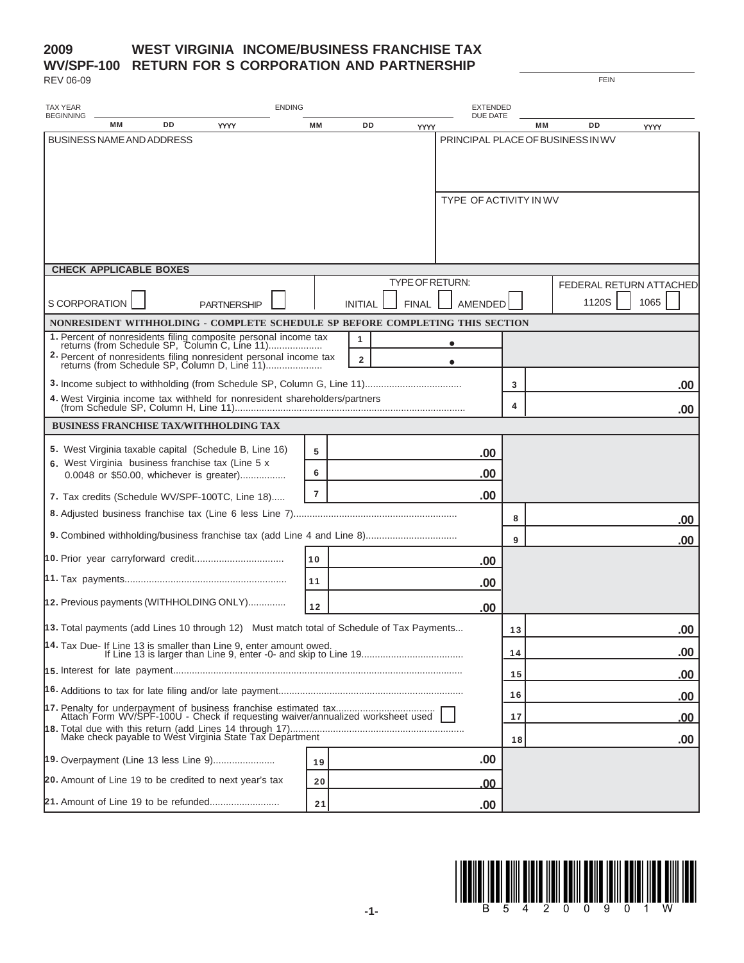## **2009 WV/SPF-100 RETURN FOR S CORPORATION AND PARTNERSHIP WEST VIRGINIA INCOME/BUSINESS FRANCHISE TAX**

REV 06-09

| <b>TAX YEAR</b><br><b>ENDING</b>                                                                                                                                                   |           |                              |       | <b>EXTENDED</b>                   |    |                                          |
|------------------------------------------------------------------------------------------------------------------------------------------------------------------------------------|-----------|------------------------------|-------|-----------------------------------|----|------------------------------------------|
| <b>BEGINNING</b><br>DD<br>МM<br><b>YYYY</b>                                                                                                                                        | <b>MM</b> | <b>DD</b>                    |       | DUE DATE<br>YYYY                  |    | DD<br><b>MM</b><br><b>YYYY</b>           |
| <b>BUSINESS NAME AND ADDRESS</b>                                                                                                                                                   |           |                              |       |                                   |    | PRINCIPAL PLACE OF BUSINESS IN WV        |
|                                                                                                                                                                                    |           |                              |       | <b>TYPE OF ACTIVITY IN WV</b>     |    |                                          |
| <b>CHECK APPLICABLE BOXES</b>                                                                                                                                                      |           |                              |       |                                   |    |                                          |
| S CORPORATION<br><b>PARTNERSHIP</b>                                                                                                                                                |           | <b>INITIAL</b>               | FINAL | TYPE OF RETURN:<br><b>AMENDED</b> |    | FEDERAL RETURN ATTACHED<br>1120S<br>1065 |
| NONRESIDENT WITHHOLDING - COMPLETE SCHEDULE SP BEFORE COMPLETING THIS SECTION                                                                                                      |           |                              |       |                                   |    |                                          |
| 1. Percent of nonresidents filing composite personal income tax<br>2. Percent of nonresidents filing nonresident personal income tax returns (from Schedule SP, Column D, Line 11) |           | 1<br>$\overline{\mathbf{2}}$ |       | $\bullet$                         |    |                                          |
|                                                                                                                                                                                    |           |                              |       |                                   | 3  | .00.                                     |
| 4. West Virginia income tax withheld for nonresident shareholders/partners                                                                                                         |           |                              |       |                                   | 4  | .00.                                     |
| <b>BUSINESS FRANCHISE TAX/WITHHOLDING TAX</b>                                                                                                                                      |           |                              |       |                                   |    |                                          |
| 5. West Virginia taxable capital (Schedule B, Line 16)                                                                                                                             | 5         |                              |       | .00                               |    |                                          |
| 6. West Virginia business franchise tax (Line 5 x<br>0.0048 or \$50.00, whichever is greater)                                                                                      | 6         |                              |       | .00                               |    |                                          |
| 7. Tax credits (Schedule WV/SPF-100TC, Line 18)                                                                                                                                    | 7         |                              |       | .00                               |    |                                          |
|                                                                                                                                                                                    |           |                              |       |                                   | 8  | .00                                      |
|                                                                                                                                                                                    |           |                              |       |                                   | 9  | .00                                      |
|                                                                                                                                                                                    | 10        |                              |       | .00                               |    |                                          |
|                                                                                                                                                                                    | 11        |                              |       | .00                               |    |                                          |
| 12. Previous payments (WITHHOLDING ONLY)                                                                                                                                           | 12        |                              |       | .00                               |    |                                          |
| 13. Total payments (add Lines 10 through 12) Must match total of Schedule of Tax Payments                                                                                          |           |                              |       |                                   | 13 | .00                                      |
| 14. Tax Due- If Line 13 is smaller than Line 9, enter amount owed.                                                                                                                 |           |                              |       |                                   | 14 | .00                                      |
|                                                                                                                                                                                    |           |                              |       |                                   | 15 | .00                                      |
|                                                                                                                                                                                    |           |                              |       |                                   | 16 | .00                                      |
|                                                                                                                                                                                    |           |                              |       |                                   | 17 | <u>.00</u>                               |
|                                                                                                                                                                                    |           |                              |       |                                   | 18 | .00                                      |
| 19. Overpayment (Line 13 less Line 9)                                                                                                                                              | 19        |                              |       | .00                               |    |                                          |
| 20. Amount of Line 19 to be credited to next year's tax                                                                                                                            | 20        |                              |       | .00                               |    |                                          |
|                                                                                                                                                                                    | 21        |                              |       | .00                               |    |                                          |



FEIN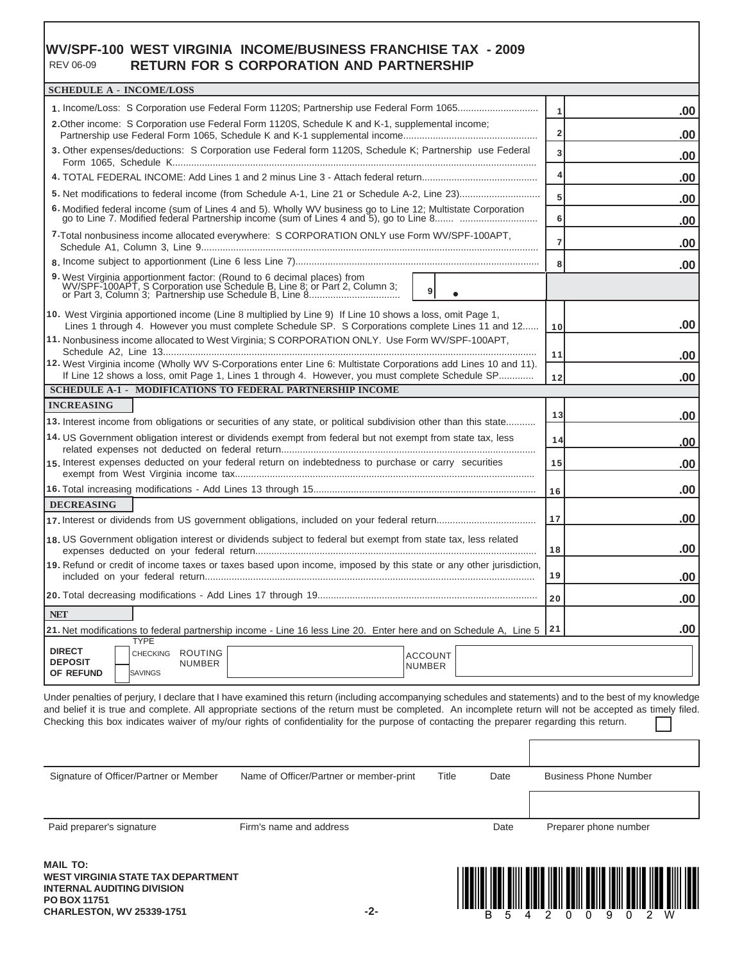#### **WV/SPF-100 WEST VIRGINIA INCOME/BUSINESS FRANCHISE TAX - 2009 RETURN FOR S CORPORATION AND PARTNERSHIP** REV 06-09

| <b>SCHEDULE A - INCOME/LOSS</b>                                                                                                                                                                                                                |                       |
|------------------------------------------------------------------------------------------------------------------------------------------------------------------------------------------------------------------------------------------------|-----------------------|
| 1. Income/Loss: S Corporation use Federal Form 1120S; Partnership use Federal Form 1065                                                                                                                                                        |                       |
| 2. Other income: S Corporation use Federal Form 1120S, Schedule K and K-1, supplemental income;                                                                                                                                                | .00<br>1              |
|                                                                                                                                                                                                                                                | $\overline{2}$<br>.00 |
| 3. Other expenses/deductions: S Corporation use Federal form 1120S, Schedule K; Partnership use Federal                                                                                                                                        | 3<br>.00              |
|                                                                                                                                                                                                                                                | 4<br>.00              |
|                                                                                                                                                                                                                                                | 5<br>.00              |
| 6. Modified federal income (sum of Lines 4 and 5). Wholly WV business go to Line 12; Multistate Corporation go to Line 7. Modified federal Partnership income (sum of Lines 4 and 5), go to Line 8                                             | 6<br>.00              |
| 7-Total nonbusiness income allocated everywhere: S CORPORATION ONLY use Form WV/SPF-100APT,                                                                                                                                                    | $\overline{7}$<br>.00 |
|                                                                                                                                                                                                                                                | 8<br>.00              |
| 9. West Virginia apportionment factor: (Round to 6 decimal places) from<br>WV/SPF-100APT, S Corporation use Schedule B, Line 8; or Part 2, Column 3;<br>or Part 3, Column 3; Partnership use Schedule B, Line 8<br>9 <sup>1</sup><br>$\bullet$ |                       |
| 10. West Virginia apportioned income (Line 8 multiplied by Line 9) If Line 10 shows a loss, omit Page 1,<br>Lines 1 through 4. However you must complete Schedule SP. S Corporations complete Lines 11 and 12                                  | .00<br>10             |
| 11. Nonbusiness income allocated to West Virginia; S CORPORATION ONLY. Use Form WV/SPF-100APT,                                                                                                                                                 |                       |
| 12. West Virginia income (Wholly WV S-Corporations enter Line 6: Multistate Corporations add Lines 10 and 11).                                                                                                                                 | 11<br>.00             |
| If Line 12 shows a loss, omit Page 1, Lines 1 through 4. However, you must complete Schedule SP                                                                                                                                                | .00<br>12             |
| <b>SCHEDULE A-1 - MODIFICATIONS TO FEDERAL PARTNERSHIP INCOME</b>                                                                                                                                                                              |                       |
| <b>INCREASING</b>                                                                                                                                                                                                                              | 13<br>.00             |
| 13. Interest income from obligations or securities of any state, or political subdivision other than this state                                                                                                                                |                       |
| 14. US Government obligation interest or dividends exempt from federal but not exempt from state tax, less                                                                                                                                     | 14<br>.00             |
| 15. Interest expenses deducted on your federal return on indebtedness to purchase or carry securities                                                                                                                                          | 15<br>.00             |
|                                                                                                                                                                                                                                                | .00<br>16             |
| <b>DECREASING</b>                                                                                                                                                                                                                              |                       |
|                                                                                                                                                                                                                                                | .00<br>17             |
| 18. US Government obligation interest or dividends subject to federal but exempt from state tax, less related                                                                                                                                  | .00<br>18             |
| 19. Refund or credit of income taxes or taxes based upon income, imposed by this state or any other jurisdiction,                                                                                                                              | 19<br>.00             |
|                                                                                                                                                                                                                                                | 20<br>.00             |
|                                                                                                                                                                                                                                                |                       |
| <b>NET</b>                                                                                                                                                                                                                                     |                       |
| 21. Net modifications to federal partnership income - Line 16 less Line 20. Enter here and on Schedule A, Line 5 21<br><b>TYPE</b>                                                                                                             | .00                   |

Under penalties of perjury, I declare that I have examined this return (including accompanying schedules and statements) and to the best of my knowledge and belief it is true and complete. All appropriate sections of the return must be completed. An incomplete return will not be accepted as timely filed. Checking this box indicates waiver of my/our rights of confidentiality for the purpose of contacting the preparer regarding this return.

| Signature of Officer/Partner or Member | Name of Officer/Partner or member-print | Title | Date | <b>Business Phone Number</b> |
|----------------------------------------|-----------------------------------------|-------|------|------------------------------|
|                                        |                                         |       |      |                              |
| Paid preparer's signature              | Firm's name and address                 |       | Date | Preparer phone number        |

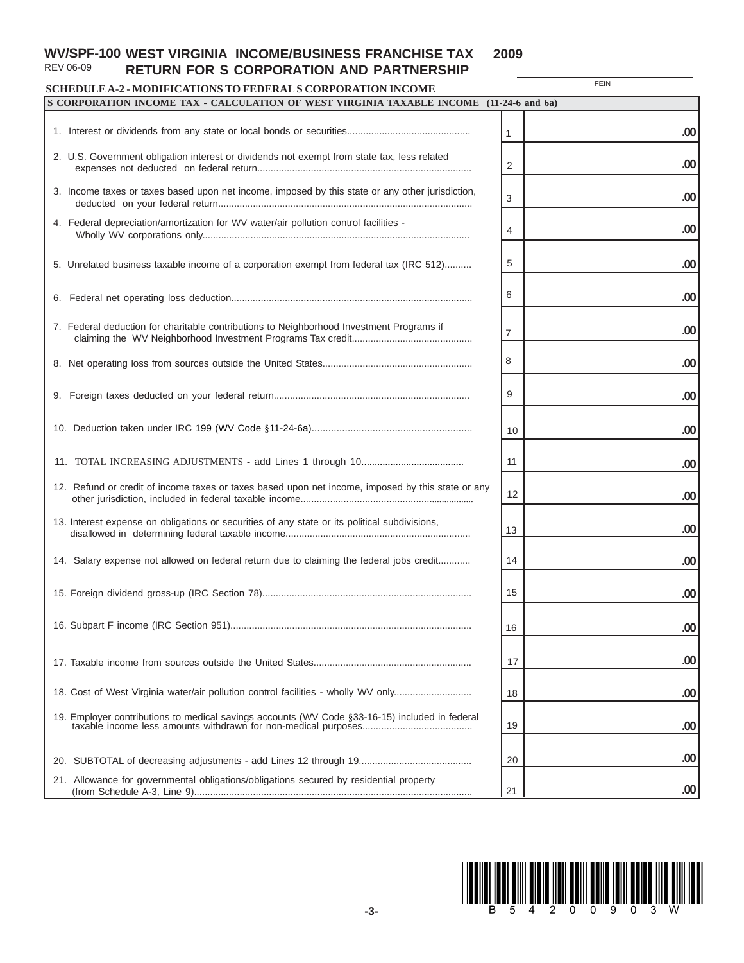#### **WV/SPF-100 WEST VIRGINIA INCOME/BUSINESS FRANCHISE TAX 2009** REV 06-09 **RETURN FOR S CORPORATION AND PARTNERSHIP**

# **SCHEDULE A-2 - MODIFICATIONS TO FEDERAL S CORPORATION INCOME**

**FEIN** 

| SCHEDULE A-2 - MODIFICATIONS TO FEDERAL S CORPORATION INCOME<br>S CORPORATION INCOME TAX - CALCULATION OF WEST VIRGINIA TAXABLE INCOME (11-24-6 and 6a) |                |     |
|---------------------------------------------------------------------------------------------------------------------------------------------------------|----------------|-----|
|                                                                                                                                                         |                |     |
|                                                                                                                                                         | 1              | .00 |
| 2. U.S. Government obligation interest or dividends not exempt from state tax, less related                                                             | $\overline{2}$ | .00 |
| 3. Income taxes or taxes based upon net income, imposed by this state or any other jurisdiction,                                                        | 3              | .00 |
| 4. Federal depreciation/amortization for WV water/air pollution control facilities -                                                                    | 4              | .00 |
| 5. Unrelated business taxable income of a corporation exempt from federal tax (IRC 512)                                                                 | 5              | .00 |
|                                                                                                                                                         | 6              | .00 |
| 7. Federal deduction for charitable contributions to Neighborhood Investment Programs if                                                                | 7              | .00 |
|                                                                                                                                                         | 8              | .00 |
|                                                                                                                                                         | 9              | .00 |
|                                                                                                                                                         | 10             | .00 |
|                                                                                                                                                         | 11             | .00 |
| 12. Refund or credit of income taxes or taxes based upon net income, imposed by this state or any                                                       | 12             | .00 |
| 13. Interest expense on obligations or securities of any state or its political subdivisions,                                                           | 13             | .00 |
| 14. Salary expense not allowed on federal return due to claiming the federal jobs credit                                                                | 14             | .00 |
|                                                                                                                                                         | 15             | .00 |
|                                                                                                                                                         | 16             | .00 |
|                                                                                                                                                         | 17             | .00 |
| 18. Cost of West Virginia water/air pollution control facilities - wholly WV only                                                                       | 18             | .00 |
| 19. Employer contributions to medical savings accounts (WV Code §33-16-15) included in federal                                                          | 19             | .00 |
|                                                                                                                                                         | 20             | .00 |
| 21. Allowance for governmental obligations/obligations secured by residential property                                                                  | 21             | .00 |

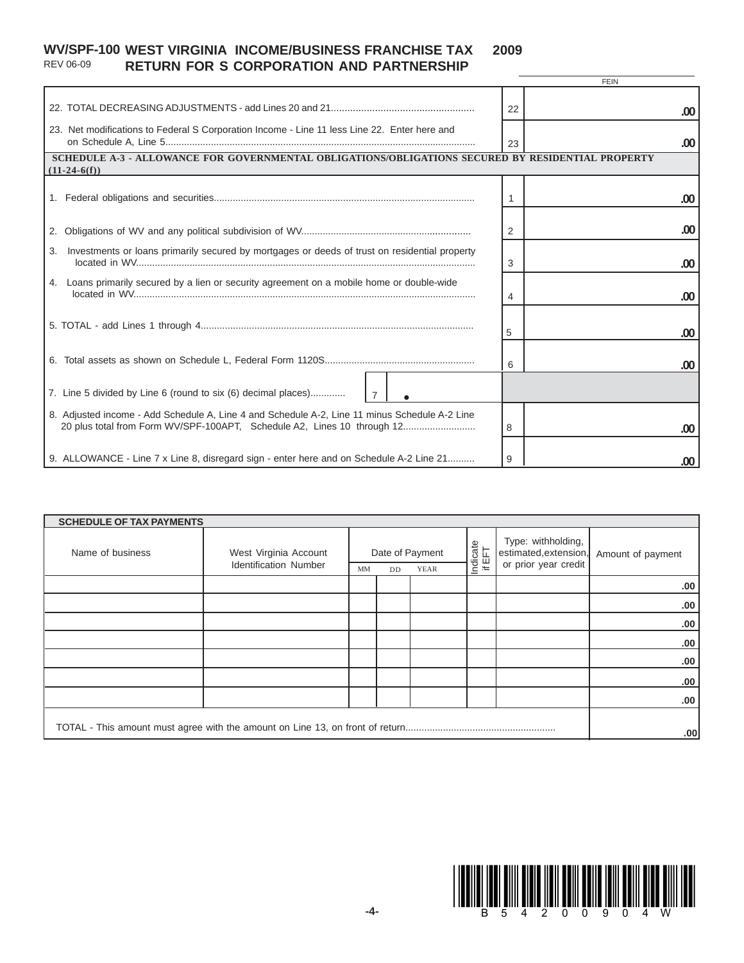#### **WV/SPF-100 WEST VIRGINIA INCOME/BUSINESS FRANCHISE TAX 2009** REV 06-09 **RETURN FOR S CORPORATION AND PARTNERSHIP**

|                                                                                                                                                                          | <b>FEIN</b> |
|--------------------------------------------------------------------------------------------------------------------------------------------------------------------------|-------------|
|                                                                                                                                                                          | 22<br>.00   |
| 23. Net modifications to Federal S Corporation Income - Line 11 less Line 22. Enter here and                                                                             | .00<br>23   |
| SCHEDULE A-3 - ALLOWANCE FOR GOVERNMENTAL OBLIGATIONS/OBLIGATIONS SECURED BY RESIDENTIAL PROPERTY<br>$(11-24-6(f))$                                                      |             |
|                                                                                                                                                                          | $.00 \,$    |
|                                                                                                                                                                          | .00<br>2    |
| Investments or loans primarily secured by mortgages or deeds of trust on residential property<br>3.                                                                      | 3<br>.00    |
| 4. Loans primarily secured by a lien or security agreement on a mobile home or double-wide                                                                               | 4<br>.00    |
|                                                                                                                                                                          | 5<br>.00    |
|                                                                                                                                                                          | 6<br>.00    |
| 7. Line 5 divided by Line 6 (round to six (6) decimal places)                                                                                                            |             |
| 8. Adjusted income - Add Schedule A, Line 4 and Schedule A-2, Line 11 minus Schedule A-2 Line<br>20 plus total from Form WV/SPF-100APT, Schedule A2, Lines 10 through 12 | 8<br>.00    |
| 9. ALLOWANCE - Line 7 x Line 8, disregard sign - enter here and on Schedule A-2 Line 21                                                                                  | 9<br>.00    |

| <b>SCHEDULE OF TAX PAYMENTS</b> |                                                       |    |                                      |  |                    |     |                                                                     |                   |
|---------------------------------|-------------------------------------------------------|----|--------------------------------------|--|--------------------|-----|---------------------------------------------------------------------|-------------------|
| Name of business                | West Virginia Account<br><b>Identification Number</b> | MM | Date of Payment<br>YEAR<br><b>DD</b> |  | Indicate<br>if EFT |     | Type: withholding,<br>estimated, extension,<br>or prior year credit | Amount of payment |
|                                 |                                                       |    |                                      |  |                    |     | .00.                                                                |                   |
|                                 |                                                       |    |                                      |  |                    |     | .00                                                                 |                   |
|                                 |                                                       |    |                                      |  |                    |     | .00.                                                                |                   |
|                                 |                                                       |    |                                      |  |                    |     | .00.                                                                |                   |
|                                 |                                                       |    |                                      |  |                    |     | .00.                                                                |                   |
|                                 |                                                       |    |                                      |  |                    |     | .00.                                                                |                   |
|                                 |                                                       |    |                                      |  |                    |     | .00                                                                 |                   |
|                                 |                                                       |    |                                      |  |                    |     |                                                                     |                   |
|                                 |                                                       |    |                                      |  |                    | .00 |                                                                     |                   |

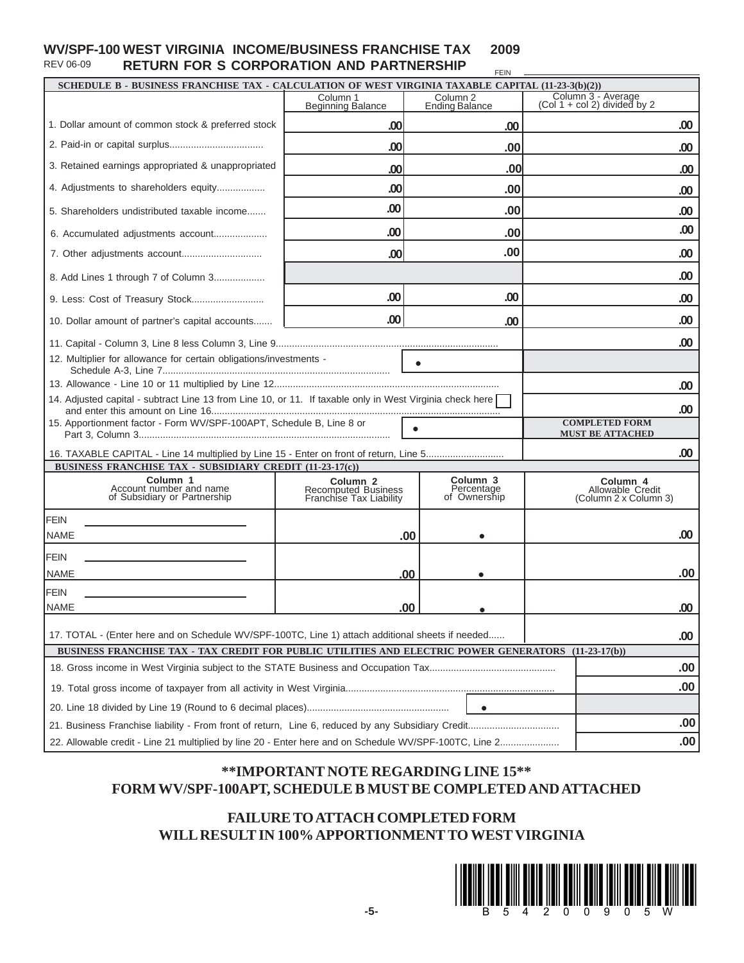#### **WV/SPF-100 WEST VIRGINIA INCOME/BUSINESS FRANCHISE TAX 2009** REV 06-09 **RETURN FOR S CORPORATION AND PARTNERSHIP** FEIN

|                                                                                                                                            |                                                                       |                                                   | SCHEDULE B - BUSINESS FRANCHISE TAX - CALCULATION OF WEST VIRGINIA TAXABLE CAPITAL (11-23-3(b)(2)) |
|--------------------------------------------------------------------------------------------------------------------------------------------|-----------------------------------------------------------------------|---------------------------------------------------|----------------------------------------------------------------------------------------------------|
|                                                                                                                                            | Column 1<br><b>Beginning Balance</b>                                  | Column <sub>2</sub><br><b>Ending Balance</b>      | Column 3 - Average<br>(Col 1 + col 2) divided by 2                                                 |
| 1. Dollar amount of common stock & preferred stock                                                                                         | .00                                                                   | .00                                               | .00                                                                                                |
|                                                                                                                                            | .00                                                                   | .00                                               | $.00 \,$                                                                                           |
| 3. Retained earnings appropriated & unappropriated                                                                                         | .00                                                                   | .00                                               | .00                                                                                                |
| 4. Adjustments to shareholders equity                                                                                                      | .00                                                                   | .00                                               | .00                                                                                                |
| 5. Shareholders undistributed taxable income                                                                                               | .00                                                                   | .00                                               | .00                                                                                                |
| 6. Accumulated adjustments account                                                                                                         | .00                                                                   | .00                                               |                                                                                                    |
|                                                                                                                                            | .00                                                                   | .00                                               |                                                                                                    |
| 8. Add Lines 1 through 7 of Column 3                                                                                                       |                                                                       |                                                   |                                                                                                    |
|                                                                                                                                            | .00                                                                   | .00                                               |                                                                                                    |
| 10. Dollar amount of partner's capital accounts                                                                                            | .00                                                                   | .00                                               |                                                                                                    |
|                                                                                                                                            |                                                                       |                                                   |                                                                                                    |
| 12. Multiplier for allowance for certain obligations/investments -                                                                         |                                                                       |                                                   |                                                                                                    |
|                                                                                                                                            |                                                                       |                                                   |                                                                                                    |
| 14. Adjusted capital - subtract Line 13 from Line 10, or 11. If taxable only in West Virginia check here                                   |                                                                       |                                                   |                                                                                                    |
|                                                                                                                                            |                                                                       |                                                   |                                                                                                    |
|                                                                                                                                            |                                                                       |                                                   |                                                                                                    |
| 15. Apportionment factor - Form WV/SPF-100APT, Schedule B, Line 8 or                                                                       |                                                                       | $\bullet$                                         | <b>COMPLETED FORM</b>                                                                              |
|                                                                                                                                            |                                                                       |                                                   | <b>MUST BE ATTACHED</b>                                                                            |
| 16. TAXABLE CAPITAL - Line 14 multiplied by Line 15 - Enter on front of return, Line 5                                                     |                                                                       |                                                   |                                                                                                    |
| BUSINESS FRANCHISE TAX - SUBSIDIARY CREDIT (11-23-17(c))<br>Column <sub>1</sub><br>Account number and name<br>of Subsidiary or Partnership | Column <sub>2</sub><br>Recomputed Business<br>Franchise Tax Liability | Column <sub>3</sub><br>Percentage<br>of Ownership | Column <sub>4</sub><br>Allowable Credit<br>(Column 2 x Column 3)                                   |
| <b>FEIN</b>                                                                                                                                |                                                                       |                                                   |                                                                                                    |
| <b>NAME</b>                                                                                                                                | .00                                                                   |                                                   |                                                                                                    |
| FEIN                                                                                                                                       |                                                                       |                                                   |                                                                                                    |
| NAME                                                                                                                                       | .00                                                                   |                                                   |                                                                                                    |
| <b>FEIN</b>                                                                                                                                |                                                                       |                                                   |                                                                                                    |

# **\*\*IMPORTANT NOTE REGARDING LINE 15\*\* FORM WV/SPF-100APT, SCHEDULE B MUST BE COMPLETED AND ATTACHED**

# **FAILURE TO ATTACH COMPLETED FORM WILL RESULT IN 100% APPORTIONMENT TO WEST VIRGINIA**

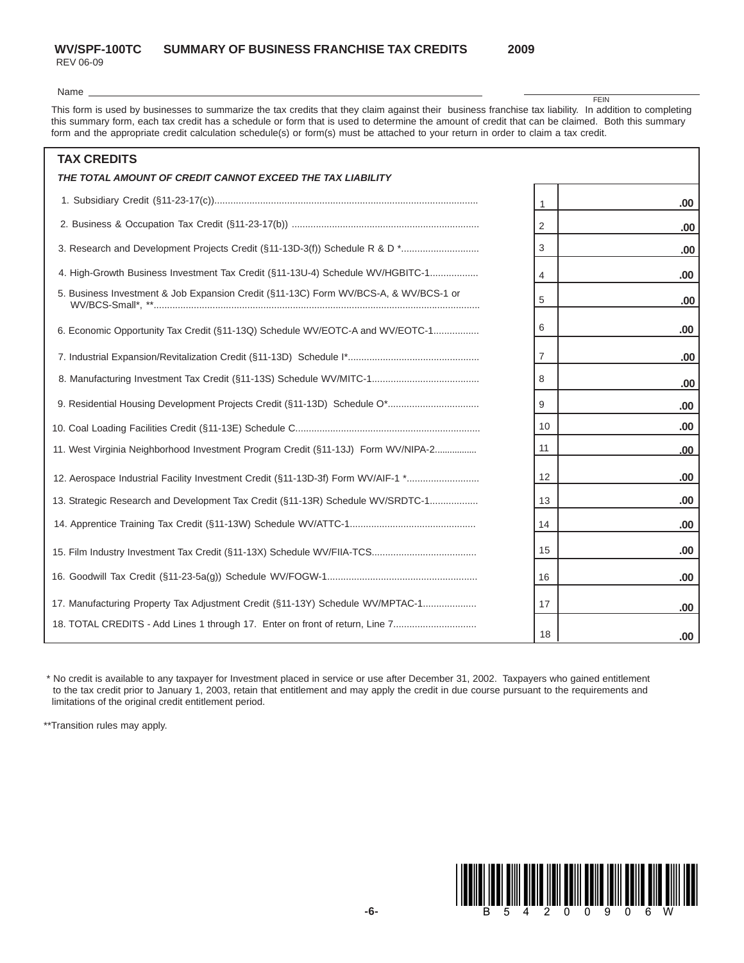# **WV/SPF-100TC SUMMARY OF BUSINESS FRANCHISE TAX CREDITS 2009**

REV 06-09

**FEIN** 

Name \_

This form is used by businesses to summarize the tax credits that they claim against their business franchise tax liability. In addition to completing this summary form, each tax credit has a schedule or form that is used to determine the amount of credit that can be claimed. Both this summary form and the appropriate credit calculation schedule(s) or form(s) must be attached to your return in order to claim a tax credit.

| <b>TAX CREDITS</b>                                                                   |    |     |
|--------------------------------------------------------------------------------------|----|-----|
| THE TOTAL AMOUNT OF CREDIT CANNOT EXCEED THE TAX LIABILITY                           |    |     |
|                                                                                      | 1  | .00 |
|                                                                                      | 2  | .00 |
|                                                                                      | 3  | .00 |
| 4. High-Growth Business Investment Tax Credit (§11-13U-4) Schedule WV/HGBITC-1       | 4  | .00 |
| 5. Business Investment & Job Expansion Credit (§11-13C) Form WV/BCS-A, & WV/BCS-1 or | 5  | .00 |
| 6. Economic Opportunity Tax Credit (§11-13Q) Schedule WV/EOTC-A and WV/EOTC-1        | 6  | .00 |
|                                                                                      | 7  | .00 |
|                                                                                      | 8  | .00 |
|                                                                                      | 9  | .00 |
|                                                                                      | 10 | .00 |
| 11. West Virginia Neighborhood Investment Program Credit (§11-13J) Form WV/NIPA-2    | 11 | .00 |
| 12. Aerospace Industrial Facility Investment Credit (§11-13D-3f) Form WV/AIF-1 *     | 12 | .00 |
| 13. Strategic Research and Development Tax Credit (§11-13R) Schedule WV/SRDTC-1      | 13 | .00 |
|                                                                                      | 14 | .00 |
|                                                                                      | 15 | .00 |
|                                                                                      | 16 | .00 |
| 17. Manufacturing Property Tax Adjustment Credit (§11-13Y) Schedule WV/MPTAC-1       | 17 | .00 |
| 18. TOTAL CREDITS - Add Lines 1 through 17. Enter on front of return, Line 7         | 18 | .00 |

 \* No credit is available to any taxpayer for Investment placed in service or use after December 31, 2002. Taxpayers who gained entitlement to the tax credit prior to January 1, 2003, retain that entitlement and may apply the credit in due course pursuant to the requirements and limitations of the original credit entitlement period.

\*\*Transition rules may apply.

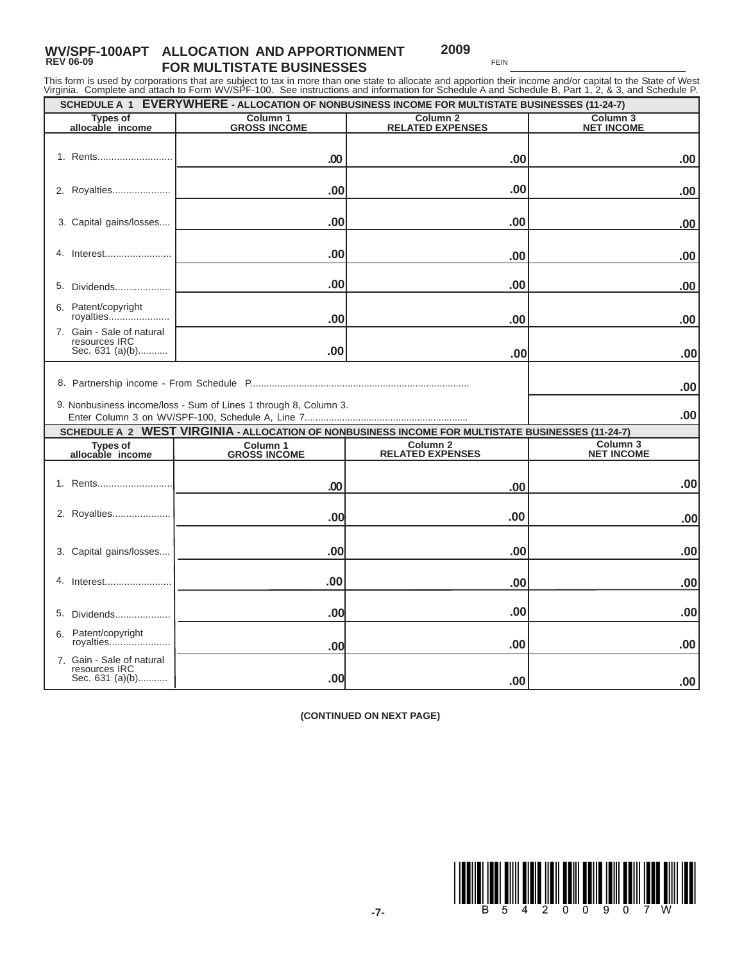#### **WV/SPF-100APT ALLOCATION AND APPORTIONMENT REV 06-09 FOR MULTISTATE BUSINESSES 2009**

5. Dividends.................... Patent/copyright royalties.........

Gain - Sale of natural resources IRC 7.

6.

**.00**

**.00**

 **SCHEDULE A 1 EVERYWHERE - ALLOCATION OF NONBUSINESS INCOME FOR MULTISTATE BUSINESSES (11-24-7)** This form is used by corporations that are subject to tax in more than one state to allocate and apportion their income and/or capital to the State of West<br>Virginia. Complete and attach to Form WV/SPF-100. See instructions Rents........................... 1. 2. Royalties..................... Capital gains/losses.... 3. 4. Interest........................ **.00 .00 .00 .00 .00 .00 .00 .00 .00 .00 .00 .00 Column 3<br>NET INCOME NET INCOME Types of Column 2 RELATED EXPENSES Types of allocable income GROSS INCOME** 

**.00**

**.00**

| <b>IBSUULLES INC</b><br>Sec. 631 (a)(b)                          | .00                                        | .00                                                                                               | .00 <sub>l</sub>                         |
|------------------------------------------------------------------|--------------------------------------------|---------------------------------------------------------------------------------------------------|------------------------------------------|
| 9. Nonbusiness income/loss - Sum of Lines 1 through 8, Column 3. | .00 <br>.00 <sub>1</sub>                   |                                                                                                   |                                          |
|                                                                  |                                            | SCHEDULE A 2 WEST VIRGINIA - ALLOCATION OF NONBUSINESS INCOME FOR MULTISTATE BUSINESSES (11-24-7) |                                          |
| <b>Types of</b><br>allocable income                              | Column <sub>1</sub><br><b>GROSS INCOME</b> | Column <sub>2</sub><br><b>RELATED EXPENSES</b>                                                    | Column <sub>3</sub><br><b>NET INCOME</b> |
|                                                                  | .00                                        | .00                                                                                               | .00                                      |
| 2. Royalties                                                     | .00                                        | .00                                                                                               | .00                                      |
| 3. Capital gains/losses                                          | .00                                        | .00.                                                                                              | .00                                      |
| 4.<br>Interest                                                   | .00                                        | .00.                                                                                              | .00                                      |
| 5.<br>Dividends                                                  | .00                                        | .00                                                                                               | .00                                      |
| Patent/copyright<br>6.<br>royalties                              | .00                                        | .00                                                                                               | .00                                      |
| 7. Gain - Sale of natural<br>resources IRC<br>Sec. 631 (a)(b)    | .00                                        | .00                                                                                               | .00.                                     |

**(CONTINUED ON NEXT PAGE)**



**.00**

**.00**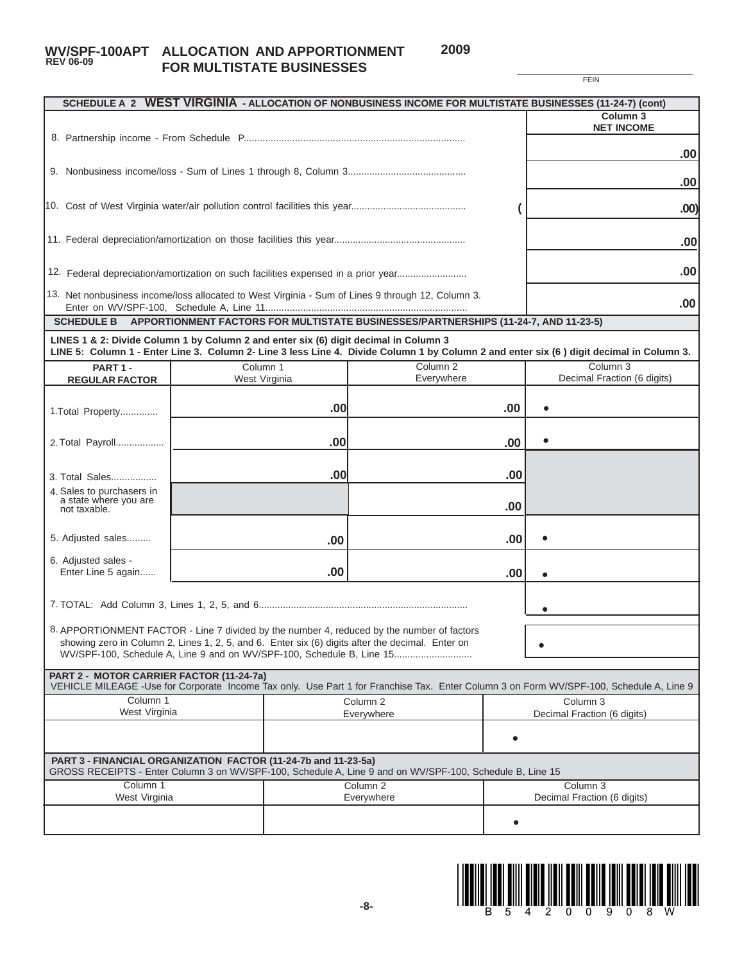# **WV/SPF-100APT ALLOCATION AND APPORTIONMENT REV 06-09 FOR MULTISTATE BUSINESSES**

**2009**

|                                                                                      |               |     |                                                                                                                                                                                                |           | <b>FEIN</b>                                                                                                                             |
|--------------------------------------------------------------------------------------|---------------|-----|------------------------------------------------------------------------------------------------------------------------------------------------------------------------------------------------|-----------|-----------------------------------------------------------------------------------------------------------------------------------------|
|                                                                                      |               |     |                                                                                                                                                                                                |           | SCHEDULE A 2 WEST VIRGINIA - ALLOCATION OF NONBUSINESS INCOME FOR MULTISTATE BUSINESSES (11-24-7) (cont)                                |
|                                                                                      |               |     |                                                                                                                                                                                                |           | Column <sub>3</sub>                                                                                                                     |
|                                                                                      |               |     |                                                                                                                                                                                                |           | <b>NET INCOME</b>                                                                                                                       |
|                                                                                      |               |     |                                                                                                                                                                                                |           |                                                                                                                                         |
|                                                                                      | .00           |     |                                                                                                                                                                                                |           |                                                                                                                                         |
|                                                                                      |               |     |                                                                                                                                                                                                |           | .00                                                                                                                                     |
|                                                                                      |               |     |                                                                                                                                                                                                |           |                                                                                                                                         |
|                                                                                      |               |     |                                                                                                                                                                                                |           | .00)                                                                                                                                    |
|                                                                                      |               |     |                                                                                                                                                                                                |           |                                                                                                                                         |
|                                                                                      |               |     |                                                                                                                                                                                                |           | .00                                                                                                                                     |
|                                                                                      |               |     |                                                                                                                                                                                                |           |                                                                                                                                         |
| 12. Federal depreciation/amortization on such facilities expensed in a prior year    |               |     |                                                                                                                                                                                                |           | .00                                                                                                                                     |
|                                                                                      |               |     |                                                                                                                                                                                                |           |                                                                                                                                         |
|                                                                                      |               |     | 13. Net nonbusiness income/loss allocated to West Virginia - Sum of Lines 9 through 12, Column 3.                                                                                              |           | .00                                                                                                                                     |
| <b>SCHEDULE B</b>                                                                    |               |     | APPORTIONMENT FACTORS FOR MULTISTATE BUSINESSES/PARTNERSHIPS (11-24-7, AND 11-23-5)                                                                                                            |           |                                                                                                                                         |
|                                                                                      |               |     |                                                                                                                                                                                                |           |                                                                                                                                         |
| LINES 1 & 2: Divide Column 1 by Column 2 and enter six (6) digit decimal in Column 3 |               |     |                                                                                                                                                                                                |           | LINE 5: Column 1 - Enter Line 3. Column 2- Line 3 less Line 4. Divide Column 1 by Column 2 and enter six (6) digit decimal in Column 3. |
| PART 1-                                                                              | Column 1      |     | Column <sub>2</sub>                                                                                                                                                                            |           | Column 3                                                                                                                                |
| <b>REGULAR FACTOR</b>                                                                | West Virginia |     | Everywhere                                                                                                                                                                                     |           | Decimal Fraction (6 digits)                                                                                                             |
|                                                                                      |               |     |                                                                                                                                                                                                |           |                                                                                                                                         |
| 1.Total Property                                                                     |               | .00 |                                                                                                                                                                                                | .00       |                                                                                                                                         |
|                                                                                      |               |     |                                                                                                                                                                                                |           |                                                                                                                                         |
| 2. Total Payroll                                                                     |               | .00 |                                                                                                                                                                                                | .00       |                                                                                                                                         |
|                                                                                      |               |     |                                                                                                                                                                                                |           |                                                                                                                                         |
|                                                                                      |               | .00 |                                                                                                                                                                                                | .00       |                                                                                                                                         |
| 3. Total Sales<br>4. Sales to purchasers in                                          |               |     |                                                                                                                                                                                                |           |                                                                                                                                         |
| a state where you are                                                                |               |     |                                                                                                                                                                                                | .00       |                                                                                                                                         |
| not taxable.                                                                         |               |     |                                                                                                                                                                                                |           |                                                                                                                                         |
|                                                                                      |               |     |                                                                                                                                                                                                |           |                                                                                                                                         |
| 5. Adjusted sales                                                                    |               | .00 |                                                                                                                                                                                                | .00       |                                                                                                                                         |
| 6. Adjusted sales -                                                                  |               |     |                                                                                                                                                                                                |           |                                                                                                                                         |
| Enter Line 5 again                                                                   |               | .00 |                                                                                                                                                                                                | .00       |                                                                                                                                         |
|                                                                                      |               |     |                                                                                                                                                                                                |           |                                                                                                                                         |
|                                                                                      |               |     |                                                                                                                                                                                                |           |                                                                                                                                         |
|                                                                                      |               |     |                                                                                                                                                                                                |           |                                                                                                                                         |
|                                                                                      |               |     | 8. APPORTIONMENT FACTOR - Line 7 divided by the number 4, reduced by the number of factors<br>showing zero in Column 2, Lines 1, 2, 5, and 6. Enter six (6) digits after the decimal. Enter on |           |                                                                                                                                         |
|                                                                                      |               |     | WV/SPF-100, Schedule A, Line 9 and on WV/SPF-100, Schedule B, Line 15                                                                                                                          |           |                                                                                                                                         |
| PART 2 - MOTOR CARRIER FACTOR (11-24-7a)                                             |               |     |                                                                                                                                                                                                |           |                                                                                                                                         |
|                                                                                      |               |     |                                                                                                                                                                                                |           | VEHICLE MILEAGE -Use for Corporate Income Tax only. Use Part 1 for Franchise Tax. Enter Column 3 on Form WV/SPF-100, Schedule A, Line 9 |
| Column 1                                                                             |               |     | Column <sub>2</sub>                                                                                                                                                                            |           | Column <sub>3</sub>                                                                                                                     |
| West Virginia                                                                        |               |     | Everywhere                                                                                                                                                                                     |           | Decimal Fraction (6 digits)                                                                                                             |
|                                                                                      |               |     |                                                                                                                                                                                                |           |                                                                                                                                         |
|                                                                                      |               |     |                                                                                                                                                                                                |           |                                                                                                                                         |
| PART 3 - FINANCIAL ORGANIZATION FACTOR (11-24-7b and 11-23-5a)                       |               |     |                                                                                                                                                                                                |           |                                                                                                                                         |
|                                                                                      |               |     | GROSS RECEIPTS - Enter Column 3 on WV/SPF-100, Schedule A, Line 9 and on WV/SPF-100, Schedule B, Line 15                                                                                       |           |                                                                                                                                         |
| Column 1<br>West Virginia                                                            |               |     | Column <sub>2</sub><br>Everywhere                                                                                                                                                              |           | Column 3<br>Decimal Fraction (6 digits)                                                                                                 |
|                                                                                      |               |     |                                                                                                                                                                                                |           |                                                                                                                                         |
|                                                                                      |               |     |                                                                                                                                                                                                | $\bullet$ |                                                                                                                                         |
|                                                                                      |               |     |                                                                                                                                                                                                |           |                                                                                                                                         |

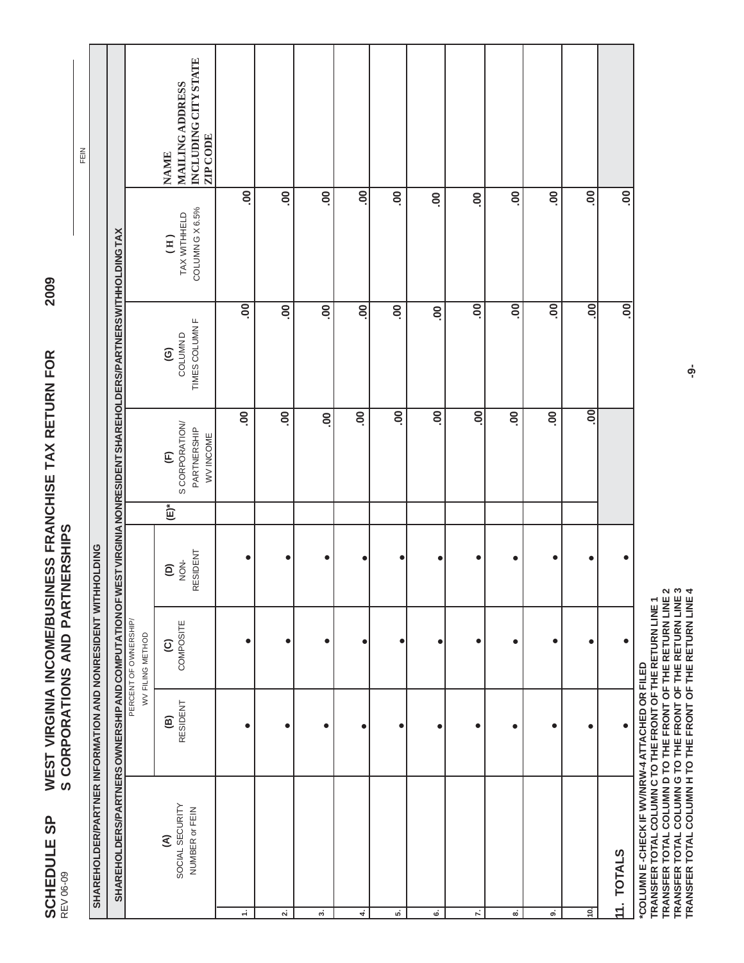SCHEDULE SP REV 06-09

FEIN

**2009**

TRANSFER TOTAL COLUMN C TO THE FRONT OF THE RETURN LINE 1<br>TRANSFER TOTAL COLUMN D TO THE FRONT OF THE RETURN LINE 2<br>TRANSFER TOTAL COLUMN G TO THE FRONT OF THE RETURN LINE 3<br>TRANSFER TOTAL COLUMN H TO THE FRONT OF THE RETU **TRANSFER TOTAL COLUMN D TO THE FRONT OF THE RETURN LINE 2 TRANSFER TOTAL COLUMN G TO THE FRONT OF THE RETURN LINE 3 TRANSFER TOTAL COLUMN H TO THE FRONT OF THE RETURN LINE 4 TRANSFER TOTAL COLUMN C TO THE FRONT OF THE RETURN LINE 1**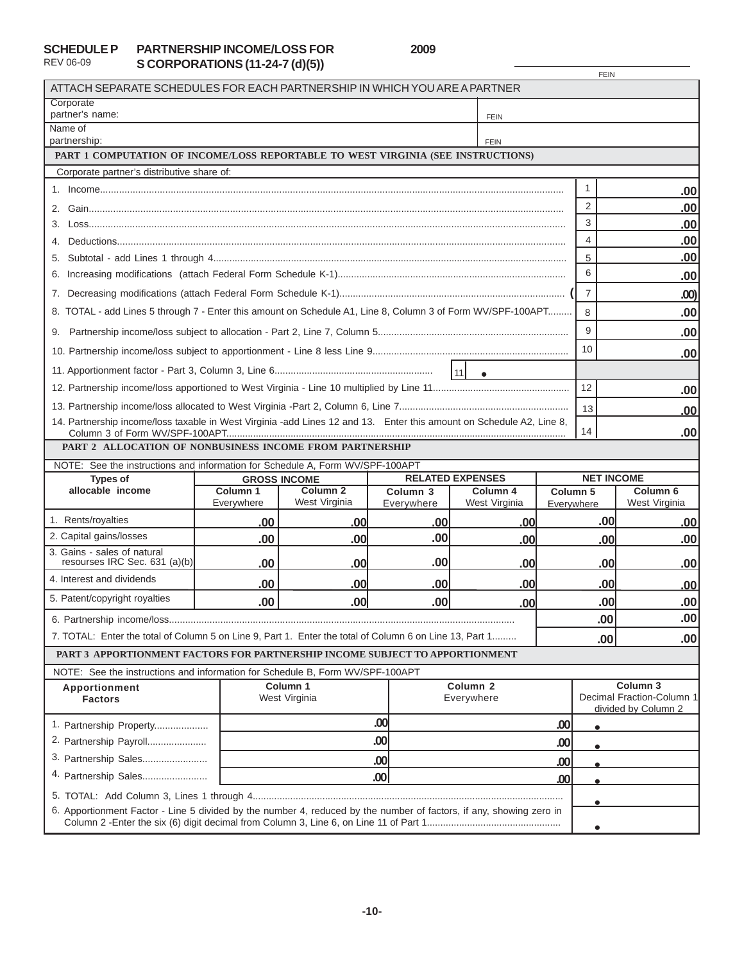## **SCHEDULE P** REV 06-09

**PARTNERSHIP INCOME/LOSS FOR 2009 S CORPORATIONS (11-24-7 (d)(5))**

|                                                                                                                      |                        |                                                                                                                                                      |                                   |                           |            | <b>FEIN</b>       |                                      |  |
|----------------------------------------------------------------------------------------------------------------------|------------------------|------------------------------------------------------------------------------------------------------------------------------------------------------|-----------------------------------|---------------------------|------------|-------------------|--------------------------------------|--|
| ATTACH SEPARATE SCHEDULES FOR EACH PARTNERSHIP IN WHICH YOU ARE A PARTNER                                            |                        |                                                                                                                                                      |                                   |                           |            |                   |                                      |  |
| Corporate<br>partner's name:                                                                                         |                        |                                                                                                                                                      |                                   |                           |            |                   |                                      |  |
| Name of                                                                                                              |                        |                                                                                                                                                      |                                   | <b>FEIN</b>               |            |                   |                                      |  |
| partnership:                                                                                                         |                        |                                                                                                                                                      |                                   |                           |            |                   |                                      |  |
| PART 1 COMPUTATION OF INCOME/LOSS REPORTABLE TO WEST VIRGINIA (SEE INSTRUCTIONS)                                     |                        |                                                                                                                                                      |                                   |                           |            |                   |                                      |  |
| Corporate partner's distributive share of:                                                                           |                        |                                                                                                                                                      |                                   |                           |            |                   |                                      |  |
|                                                                                                                      |                        |                                                                                                                                                      |                                   |                           |            | $\mathbf{1}$      | .00 <sub>1</sub>                     |  |
|                                                                                                                      |                        |                                                                                                                                                      | $\overline{2}$                    | .00                       |            |                   |                                      |  |
| 3.                                                                                                                   |                        | 3                                                                                                                                                    | .00                               |                           |            |                   |                                      |  |
| 4.                                                                                                                   |                        |                                                                                                                                                      |                                   |                           |            | $\overline{4}$    | .00                                  |  |
|                                                                                                                      |                        |                                                                                                                                                      |                                   |                           |            | 5                 | .00                                  |  |
|                                                                                                                      |                        |                                                                                                                                                      |                                   |                           |            | 6                 | .00                                  |  |
|                                                                                                                      |                        |                                                                                                                                                      |                                   |                           |            | $\overline{7}$    | .00)                                 |  |
| 8. TOTAL - add Lines 5 through 7 - Enter this amount on Schedule A1, Line 8, Column 3 of Form WV/SPF-100APT          |                        |                                                                                                                                                      |                                   |                           |            | 8                 | .00                                  |  |
|                                                                                                                      |                        |                                                                                                                                                      |                                   |                           |            | 9                 | .00                                  |  |
|                                                                                                                      |                        |                                                                                                                                                      |                                   |                           |            | 10                | .00                                  |  |
|                                                                                                                      |                        |                                                                                                                                                      |                                   | $\vert$ 11 $\vert$        |            |                   |                                      |  |
|                                                                                                                      |                        |                                                                                                                                                      |                                   |                           |            |                   | .00                                  |  |
|                                                                                                                      |                        |                                                                                                                                                      |                                   |                           |            |                   | .00                                  |  |
| 14. Partnership income/loss taxable in West Virginia -add Lines 12 and 13. Enter this amount on Schedule A2, Line 8, |                        |                                                                                                                                                      |                                   |                           |            | 14                | .00 <sub>1</sub>                     |  |
| PART 2 ALLOCATION OF NONBUSINESS INCOME FROM PARTNERSHIP                                                             |                        |                                                                                                                                                      |                                   |                           |            |                   |                                      |  |
| NOTE: See the instructions and information for Schedule A, Form WV/SPF-100APT                                        |                        |                                                                                                                                                      |                                   |                           |            |                   |                                      |  |
| <b>Types of</b>                                                                                                      |                        | <b>GROSS INCOME</b>                                                                                                                                  |                                   | <b>RELATED EXPENSES</b>   |            | <b>NET INCOME</b> |                                      |  |
| allocable income                                                                                                     | Column 1<br>Everywhere | Column <sub>2</sub><br>West Virginia                                                                                                                 | Column <sub>3</sub><br>Everywhere | Column 4<br>West Virginia | Everywhere | Column 5          | Column <sub>6</sub><br>West Virginia |  |
| 1. Rents/royalties                                                                                                   |                        |                                                                                                                                                      |                                   |                           |            | .00               |                                      |  |
| 2. Capital gains/losses                                                                                              | .00<br>.00             | .00<br>.00                                                                                                                                           | .00<br>.00                        | .00<br>.00                |            |                   | .00<br>.00                           |  |
| 3. Gains - sales of natural                                                                                          |                        |                                                                                                                                                      |                                   |                           | .00        |                   |                                      |  |
| resourses IRC Sec. 631 (a)(b)<br>4. Interest and dividends                                                           | .00                    | .00                                                                                                                                                  | .00                               | .00                       |            | .00               | .00 <sub>1</sub>                     |  |
|                                                                                                                      | .00                    | .00                                                                                                                                                  | .00                               | .00                       |            | .00               | .00                                  |  |
| 5. Patent/copyright royalties                                                                                        | .00                    | .00                                                                                                                                                  | .00                               | .00                       |            | .00               | .00                                  |  |
|                                                                                                                      |                        |                                                                                                                                                      |                                   |                           |            | .00               | .00                                  |  |
| 7. TOTAL: Enter the total of Column 5 on Line 9, Part 1. Enter the total of Column 6 on Line 13, Part 1<br>.00       |                        |                                                                                                                                                      |                                   |                           |            | .00 <sub>1</sub>  |                                      |  |
| PART 3 APPORTIONMENT FACTORS FOR PARTNERSHIP INCOME SUBJECT TO APPORTIONMENT                                         |                        |                                                                                                                                                      |                                   |                           |            |                   |                                      |  |
| NOTE: See the instructions and information for Schedule B, Form WV/SPF-100APT                                        |                        |                                                                                                                                                      |                                   |                           |            |                   |                                      |  |
| Apportionment<br><b>Factors</b>                                                                                      |                        | Column <sub>3</sub><br>Column <sub>1</sub><br>Column <sub>2</sub><br>Decimal Fraction-Column 1<br>West Virginia<br>Everywhere<br>divided by Column 2 |                                   |                           |            |                   |                                      |  |
| 1. Partnership Property                                                                                              |                        |                                                                                                                                                      | .00                               |                           | .00        | $\bullet$         |                                      |  |
| 2. Partnership Payroll                                                                                               |                        |                                                                                                                                                      | .00                               |                           |            |                   |                                      |  |
| 3. Partnership Sales                                                                                                 |                        |                                                                                                                                                      | .00                               |                           |            |                   |                                      |  |
| 4. Partnership Sales                                                                                                 |                        |                                                                                                                                                      | .00<br>.00                        |                           | .00        |                   |                                      |  |
|                                                                                                                      |                        |                                                                                                                                                      |                                   |                           |            |                   |                                      |  |
| 6. Apportionment Factor - Line 5 divided by the number 4, reduced by the number of factors, if any, showing zero in  |                        |                                                                                                                                                      |                                   |                           |            | $\bullet$         |                                      |  |
|                                                                                                                      |                        |                                                                                                                                                      |                                   |                           |            |                   |                                      |  |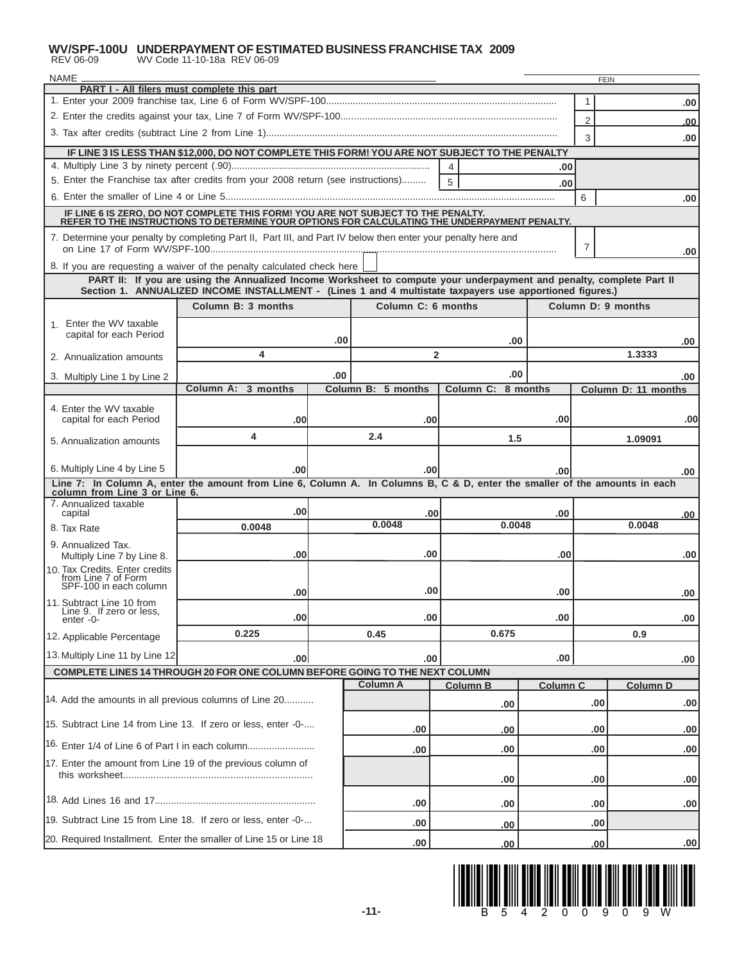# **WV/SPF-100U UNDERPAYMENT OF ESTIMATED BUSINESS FRANCHISE TAX 2009**<br>REV 06-09 WV Code 11-10-18a REV 06-09

| NAME <sub>-</sub><br><b>FEIN</b>                                                |                                                                                                                                                                                                                                  |     |                    |                         |                        |                 |        |                     |     |
|---------------------------------------------------------------------------------|----------------------------------------------------------------------------------------------------------------------------------------------------------------------------------------------------------------------------------|-----|--------------------|-------------------------|------------------------|-----------------|--------|---------------------|-----|
| PART I - All filers must complete this part<br>1                                |                                                                                                                                                                                                                                  |     |                    |                         |                        |                 |        |                     |     |
|                                                                                 |                                                                                                                                                                                                                                  |     |                    |                         |                        |                 |        |                     | .00 |
|                                                                                 |                                                                                                                                                                                                                                  |     |                    |                         |                        |                 |        |                     | .00 |
|                                                                                 |                                                                                                                                                                                                                                  |     |                    |                         |                        |                 | 3      |                     | .00 |
|                                                                                 | IF LINE 3 IS LESS THAN \$12,000, DO NOT COMPLETE THIS FORM! YOU ARE NOT SUBJECT TO THE PENALTY                                                                                                                                   |     |                    | 4                       |                        | .00             |        |                     |     |
|                                                                                 | 5. Enter the Franchise tax after credits from your 2008 return (see instructions)                                                                                                                                                |     |                    | 5                       |                        | .00             |        |                     |     |
|                                                                                 |                                                                                                                                                                                                                                  |     |                    |                         |                        |                 | 6      |                     | .00 |
|                                                                                 | IF LINE 6 IS ZERO, DO NOT COMPLETE THIS FORM! YOU ARE NOT SUBJECT TO THE PENALTY.<br>REFER TO THE INSTRUCTIONS TO DETERMINE YOUR OPTIONS FOR CALCULATING THE UNDERPAYMENT PENALTY.                                               |     |                    |                         |                        |                 |        |                     |     |
|                                                                                 | 7. Determine your penalty by completing Part II, Part III, and Part IV below then enter your penalty here and                                                                                                                    |     |                    |                         |                        |                 | 7      |                     | .00 |
|                                                                                 | 8. If you are requesting a waiver of the penalty calculated check here                                                                                                                                                           |     |                    |                         |                        |                 |        |                     |     |
|                                                                                 | PART II: If you are using the Annualized Income Worksheet to compute your underpayment and penalty, complete Part II<br>Section 1. ANNUALIZED INCOME INSTALLMENT - (Lines 1 and 4 multistate taxpayers use apportioned figures.) |     |                    |                         |                        |                 |        |                     |     |
|                                                                                 | Column B: 3 months                                                                                                                                                                                                               |     | Column C: 6 months |                         |                        |                 |        | Column D: 9 months  |     |
| 1. Enter the WV taxable                                                         |                                                                                                                                                                                                                                  |     |                    |                         |                        |                 |        |                     |     |
| capital for each Period                                                         |                                                                                                                                                                                                                                  | .00 |                    |                         | .00                    |                 |        |                     | .00 |
| 2. Annualization amounts                                                        | 4                                                                                                                                                                                                                                |     |                    | $\overline{\mathbf{2}}$ |                        |                 |        | 1.3333              |     |
| 3. Multiply Line 1 by Line 2                                                    |                                                                                                                                                                                                                                  | .00 |                    |                         | .00                    |                 |        |                     | .00 |
|                                                                                 | Column A: 3 months                                                                                                                                                                                                               |     | Column B: 5 months |                         | Column C: 8 months     |                 |        | Column D: 11 months |     |
| 4. Enter the WV taxable<br>capital for each Period                              | .00                                                                                                                                                                                                                              |     | .00                |                         |                        | .00             |        |                     | .00 |
| 5. Annualization amounts                                                        | 4                                                                                                                                                                                                                                |     | 2.4                |                         | 1.5                    |                 |        | 1.09091             |     |
| 6. Multiply Line 4 by Line 5                                                    | .00                                                                                                                                                                                                                              |     | .00                |                         |                        | .00             |        |                     | .00 |
| column from Line 3 or Line 6.                                                   | Line 7: In Column A, enter the amount from Line 6, Column A. In Columns B, C & D, enter the smaller of the amounts in each                                                                                                       |     |                    |                         |                        |                 |        |                     |     |
| 7. Annualized taxable                                                           | .00 <sub>1</sub>                                                                                                                                                                                                                 |     |                    |                         |                        |                 |        |                     |     |
| capital<br>8. Tax Rate                                                          | 0.0048                                                                                                                                                                                                                           |     | .00<br>0.0048      | .00<br>0.0048           |                        |                 | 0.0048 | .00                 |     |
| 9. Annualized Tax.                                                              |                                                                                                                                                                                                                                  |     |                    |                         |                        |                 |        |                     |     |
| Multiply Line 7 by Line 8.                                                      | .00                                                                                                                                                                                                                              |     | .00                |                         |                        | .00             |        |                     | .00 |
| 10. Tax Credits. Enter credits<br>from Line 7 of Form<br>SPF-100 in each column |                                                                                                                                                                                                                                  |     | .00                |                         |                        |                 |        |                     |     |
| 11. Subtract Line 10 from<br>Line 9. If zero or less,                           | .00 <sub>1</sub>                                                                                                                                                                                                                 |     |                    |                         |                        | .00             |        |                     | .00 |
| enter -0-                                                                       | .00 <sub>1</sub><br>0.225                                                                                                                                                                                                        |     | .00                |                         | 0.675                  | .00             |        |                     | .00 |
| 12. Applicable Percentage                                                       |                                                                                                                                                                                                                                  |     | 0.45               |                         |                        |                 |        | 0.9                 |     |
| 13. Multiply Line 11 by Line 12                                                 | .00 <sub>1</sub>                                                                                                                                                                                                                 |     | .00                |                         |                        | .00             |        |                     | .00 |
|                                                                                 | COMPLETE LINES 14 THROUGH 20 FOR ONE COLUMN BEFORE GOING TO THE NEXT COLUMN                                                                                                                                                      |     | <b>Column A</b>    |                         |                        |                 |        |                     |     |
| 14. Add the amounts in all previous columns of Line 20                          |                                                                                                                                                                                                                                  |     |                    |                         | <b>Column B</b><br>.00 | <b>Column C</b> | .00    | <b>Column D</b>     | .00 |
| 15. Subtract Line 14 from Line 13. If zero or less, enter -0-                   |                                                                                                                                                                                                                                  |     | .00                |                         | .00                    |                 | .00    |                     | .00 |
| <sup>16.</sup> Enter 1/4 of Line 6 of Part I in each column                     | .00                                                                                                                                                                                                                              |     | .00                | .00                     |                        |                 | .00    |                     |     |
| 17. Enter the amount from Line 19 of the previous column of<br>this worksheet   |                                                                                                                                                                                                                                  |     |                    |                         |                        |                 |        |                     |     |
|                                                                                 |                                                                                                                                                                                                                                  |     |                    |                         | .00                    | .00             |        |                     | .00 |
| 19. Subtract Line 15 from Line 18. If zero or less, enter -0-                   |                                                                                                                                                                                                                                  |     | .00                |                         | .00                    | .00             |        |                     | .00 |
|                                                                                 |                                                                                                                                                                                                                                  |     | .00                |                         | .00                    | .00             |        |                     |     |
| 20. Required Installment. Enter the smaller of Line 15 or Line 18               | .00                                                                                                                                                                                                                              |     | .00                |                         | .00                    |                 | .00    |                     |     |

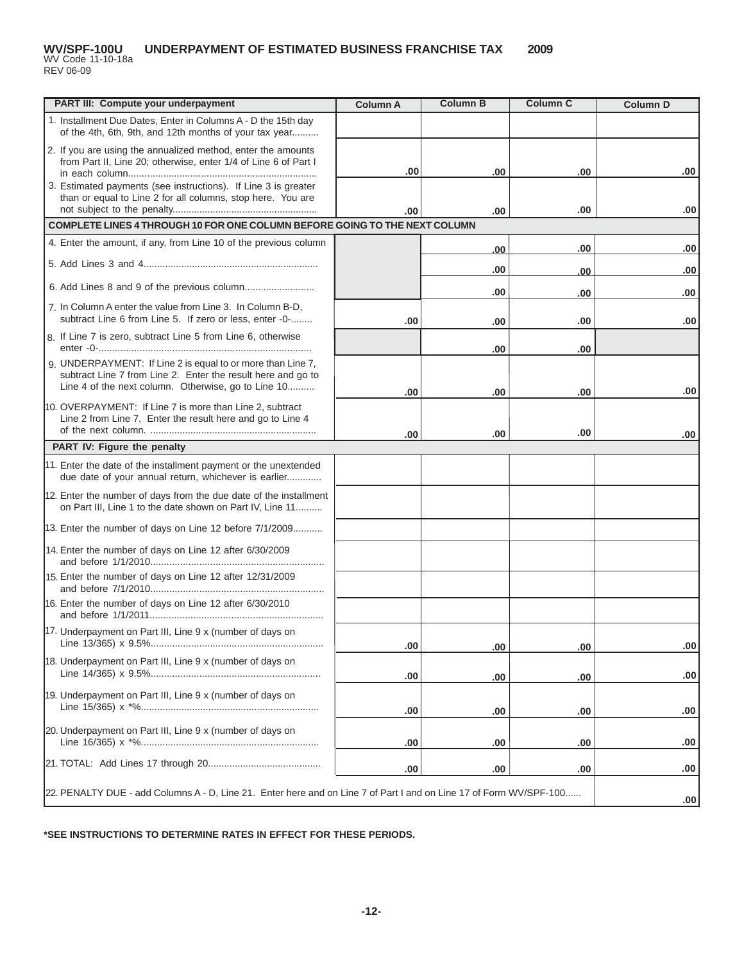#### **UNDERPAYMENT OF ESTIMATED BUSINESS FRANCHISE TAX 2009** WV Code 11-10-18a **WV/SPF-100U**

REV 06-09

| PART III: Compute your underpayment                                                                                                                                                | <b>Column A</b> | <b>Column B</b> | <b>Column C</b> | <b>Column D</b>  |
|------------------------------------------------------------------------------------------------------------------------------------------------------------------------------------|-----------------|-----------------|-----------------|------------------|
| 1. Installment Due Dates, Enter in Columns A - D the 15th day<br>of the 4th, 6th, 9th, and 12th months of your tax year                                                            |                 |                 |                 |                  |
| 2. If you are using the annualized method, enter the amounts<br>from Part II, Line 20; otherwise, enter 1/4 of Line 6 of Part I                                                    | .00             | .00             | .00             | .00              |
| 3. Estimated payments (see instructions). If Line 3 is greater<br>than or equal to Line 2 for all columns, stop here. You are                                                      |                 |                 |                 |                  |
|                                                                                                                                                                                    | .00             | .00             | .00             | .00              |
| COMPLETE LINES 4 THROUGH 10 FOR ONE COLUMN BEFORE GOING TO THE NEXT COLUMN                                                                                                         |                 |                 |                 |                  |
| 4. Enter the amount, if any, from Line 10 of the previous column                                                                                                                   |                 | .00             | .00             | .00              |
|                                                                                                                                                                                    |                 | .00             | .00             | .00              |
| 6. Add Lines 8 and 9 of the previous column                                                                                                                                        |                 | .00             | .00             | .00              |
| 7. In Column A enter the value from Line 3. In Column B-D,<br>subtract Line 6 from Line 5. If zero or less, enter -0-                                                              | .00             | .00             | .00             | .00              |
| 8. If Line 7 is zero, subtract Line 5 from Line 6, otherwise                                                                                                                       |                 | .00             | .00             |                  |
| 9. UNDERPAYMENT: If Line 2 is equal to or more than Line 7,<br>subtract Line 7 from Line 2. Enter the result here and go to<br>Line 4 of the next column. Otherwise, go to Line 10 |                 |                 |                 |                  |
|                                                                                                                                                                                    | .00             | .00             | .00             | .00              |
| 10. OVERPAYMENT: If Line 7 is more than Line 2, subtract<br>Line 2 from Line 7. Enter the result here and go to Line 4                                                             |                 |                 |                 |                  |
| PART IV: Figure the penalty                                                                                                                                                        | .00             | .00             | .00             | .00              |
|                                                                                                                                                                                    |                 |                 |                 |                  |
| 11. Enter the date of the installment payment or the unextended<br>due date of your annual return, whichever is earlier                                                            |                 |                 |                 |                  |
| 12. Enter the number of days from the due date of the installment<br>on Part III, Line 1 to the date shown on Part IV, Line 11                                                     |                 |                 |                 |                  |
| 13. Enter the number of days on Line 12 before 7/1/2009                                                                                                                            |                 |                 |                 |                  |
| 14. Enter the number of days on Line 12 after 6/30/2009                                                                                                                            |                 |                 |                 |                  |
| 15. Enter the number of days on Line 12 after 12/31/2009                                                                                                                           |                 |                 |                 |                  |
| 16. Enter the number of days on Line 12 after 6/30/2010                                                                                                                            |                 |                 |                 |                  |
| 17. Underpayment on Part III, Line 9 x (number of days on                                                                                                                          | .00             | .00             | .00             | .00              |
| 18. Underpayment on Part III, Line 9 x (number of days on                                                                                                                          | .00             | .00             | .00             | .00              |
| 19. Underpayment on Part III, Line 9 x (number of days on                                                                                                                          | .00             | .00             | .00             | .00              |
| 20. Underpayment on Part III, Line 9 x (number of days on                                                                                                                          | .00             | .00             | .00             | .00              |
|                                                                                                                                                                                    | .00             | .00             | .00             | .00              |
| 22. PENALTY DUE - add Columns A - D, Line 21. Enter here and on Line 7 of Part I and on Line 17 of Form WV/SPF-100                                                                 |                 |                 |                 | .00 <sub>1</sub> |

**\*SEE INSTRUCTIONS TO DETERMINE RATES IN EFFECT FOR THESE PERIODS.**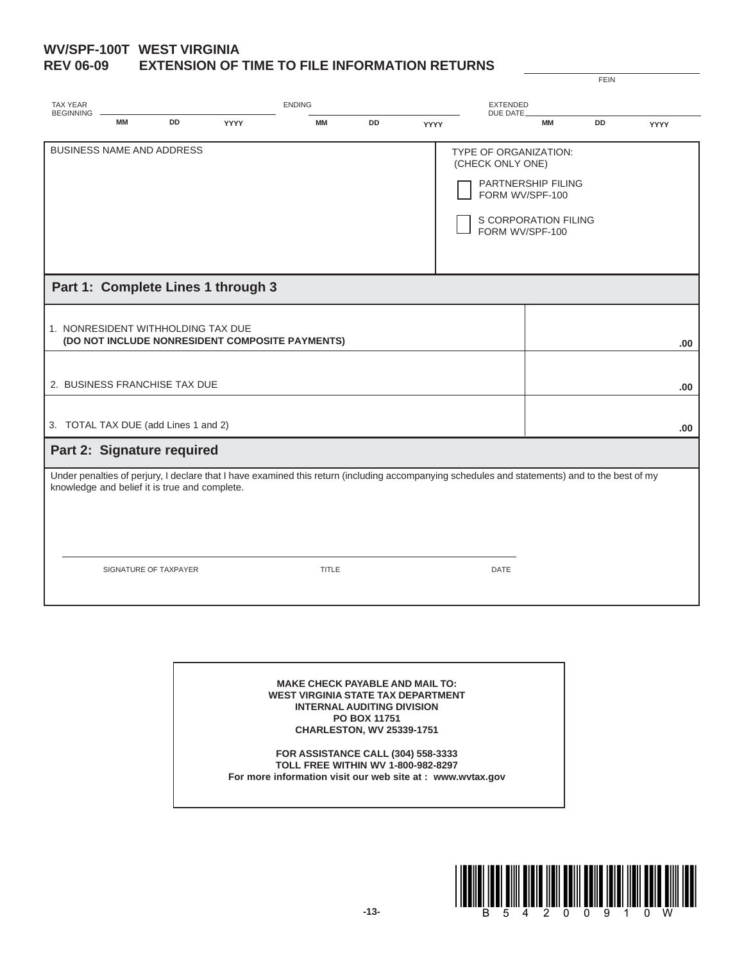#### **WV/SPF-100T WEST VIRGINIA REV 06-09 EXTENSION OF TIME TO FILE INFORMATION RETURNS**

| <b>TAX YEAR</b>  | <b>ENDING</b>                                                          |           |                                    |                                                 | <b>EXTENDED</b> |      |                                                                                                                                                               |                                            |           |             |
|------------------|------------------------------------------------------------------------|-----------|------------------------------------|-------------------------------------------------|-----------------|------|---------------------------------------------------------------------------------------------------------------------------------------------------------------|--------------------------------------------|-----------|-------------|
| <b>BEGINNING</b> | <b>MM</b>                                                              | <b>DD</b> | <b>YYYY</b>                        | <b>MM</b>                                       | <b>DD</b>       | YYYY | DUE DATE                                                                                                                                                      | <b>MM</b>                                  | <b>DD</b> | <b>YYYY</b> |
|                  | <b>BUSINESS NAME AND ADDRESS</b>                                       |           |                                    |                                                 |                 |      | <b>TYPE OF ORGANIZATION:</b><br>(CHECK ONLY ONE)<br>FORM WV/SPF-100<br>FORM WV/SPF-100                                                                        | PARTNERSHIP FILING<br>S CORPORATION FILING |           |             |
|                  |                                                                        |           | Part 1: Complete Lines 1 through 3 |                                                 |                 |      |                                                                                                                                                               |                                            |           |             |
|                  | 1. NONRESIDENT WITHHOLDING TAX DUE                                     |           |                                    | (DO NOT INCLUDE NONRESIDENT COMPOSITE PAYMENTS) |                 |      |                                                                                                                                                               |                                            |           | .00         |
|                  | 2. BUSINESS FRANCHISE TAX DUE                                          |           |                                    |                                                 |                 |      |                                                                                                                                                               |                                            |           | .00         |
|                  | 3. TOTAL TAX DUE (add Lines 1 and 2)                                   |           |                                    |                                                 |                 |      |                                                                                                                                                               |                                            |           | .00         |
|                  | Part 2: Signature required                                             |           |                                    |                                                 |                 |      |                                                                                                                                                               |                                            |           |             |
|                  | knowledge and belief it is true and complete.<br>SIGNATURE OF TAXPAYER |           |                                    | <b>TITLE</b>                                    |                 |      | Under penalties of perjury, I declare that I have examined this return (including accompanying schedules and statements) and to the best of my<br><b>DATE</b> |                                            |           |             |
|                  |                                                                        |           |                                    |                                                 |                 |      |                                                                                                                                                               |                                            |           |             |

**MAKE CHECK PAYABLE AND MAIL TO: WEST VIRGINIA STATE TAX DEPARTMENT INTERNAL AUDITING DIVISION PO BOX 11751 CHARLESTON, WV 25339-1751**

**FOR ASSISTANCE CALL (304) 558-3333 TOLL FREE WITHIN WV 1-800-982-8297 For more information visit our web site at : www.wvtax.gov**



FEIN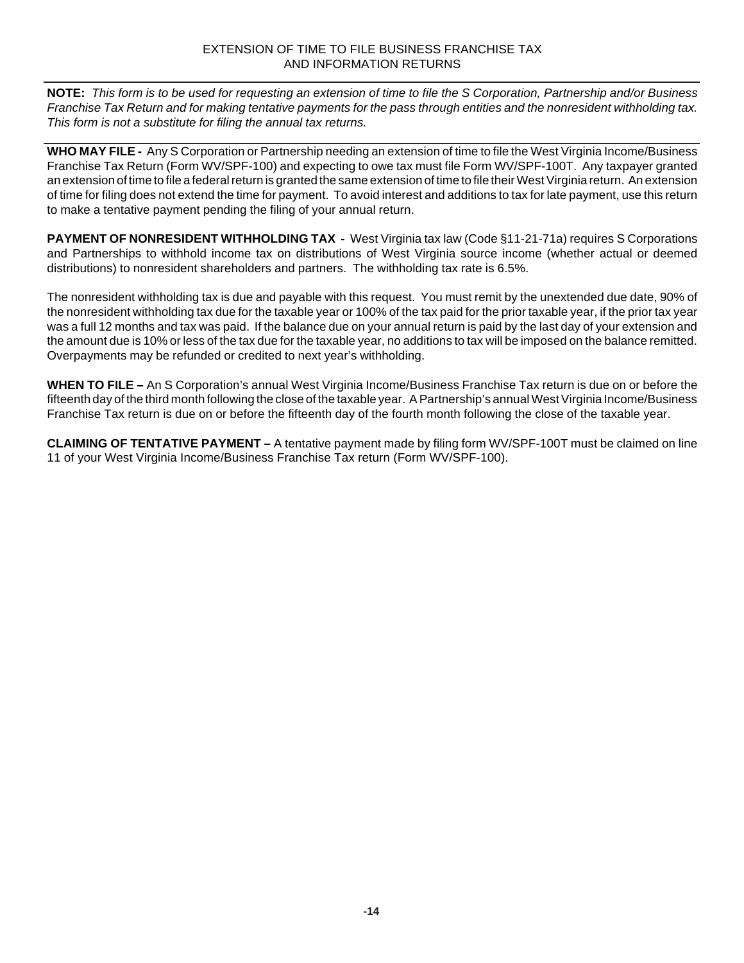**NOTE:** *This form is to be used for requesting an extension of time to file the S Corporation, Partnership and/or Business Franchise Tax Return and for making tentative payments for the pass through entities and the nonresident withholding tax. This form is not a substitute for filing the annual tax returns.*

**WHO MAY FILE -** Any S Corporation or Partnership needing an extension of time to file the West Virginia Income/Business Franchise Tax Return (Form WV/SPF-100) and expecting to owe tax must file Form WV/SPF-100T. Any taxpayer granted an extension of time to file a federal return is granted the same extension of time to file their West Virginia return. An extension of time for filing does not extend the time for payment. To avoid interest and additions to tax for late payment, use this return to make a tentative payment pending the filing of your annual return.

**PAYMENT OF NONRESIDENT WITHHOLDING TAX -** West Virginia tax law (Code §11-21-71a) requires S Corporations and Partnerships to withhold income tax on distributions of West Virginia source income (whether actual or deemed distributions) to nonresident shareholders and partners. The withholding tax rate is 6.5%.

The nonresident withholding tax is due and payable with this request. You must remit by the unextended due date, 90% of the nonresident withholding tax due for the taxable year or 100% of the tax paid for the prior taxable year, if the prior tax year was a full 12 months and tax was paid. If the balance due on your annual return is paid by the last day of your extension and the amount due is 10% or less of the tax due for the taxable year, no additions to tax will be imposed on the balance remitted. Overpayments may be refunded or credited to next year's withholding.

**WHEN TO FILE –** An S Corporation's annual West Virginia Income/Business Franchise Tax return is due on or before the fifteenth day of the third month following the close of the taxable year. A Partnership's annual West Virginia Income/Business Franchise Tax return is due on or before the fifteenth day of the fourth month following the close of the taxable year.

**CLAIMING OF TENTATIVE PAYMENT –** A tentative payment made by filing form WV/SPF-100T must be claimed on line 11 of your West Virginia Income/Business Franchise Tax return (Form WV/SPF-100).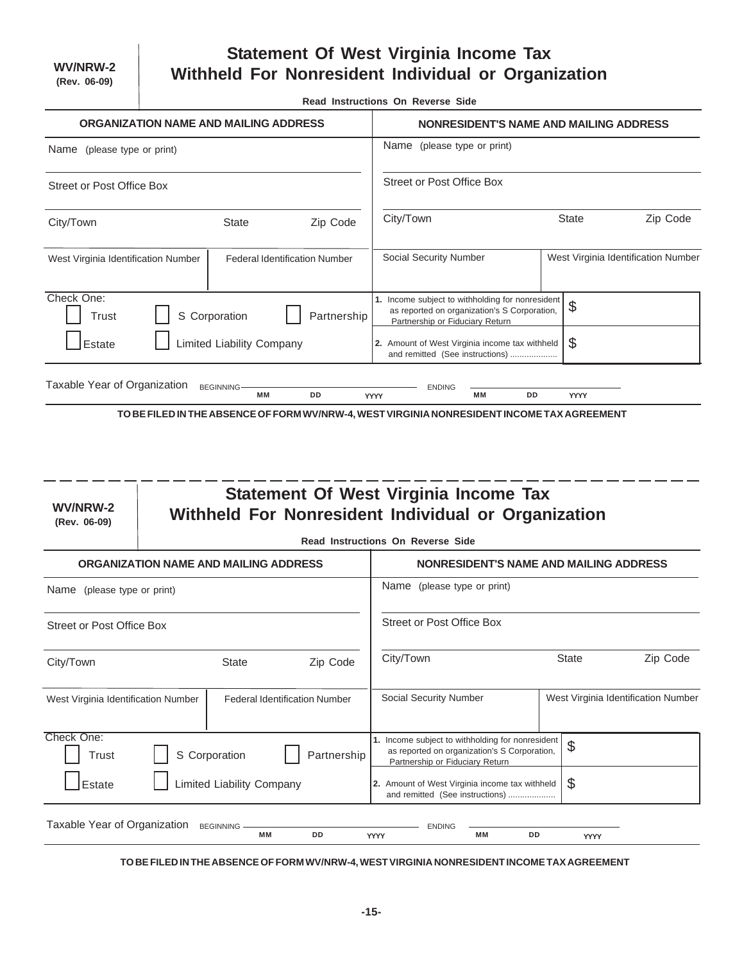$\overline{a}$ 

# **Statement Of West Virginia Income Tax Withheld For Nonresident Individual or Organization**

**Read Instructions On Reverse Side**

|                                                                             |  |                                              |                                      | Read instructions On Reverse Side                                                                                                   |           |              |                                     |  |  |
|-----------------------------------------------------------------------------|--|----------------------------------------------|--------------------------------------|-------------------------------------------------------------------------------------------------------------------------------------|-----------|--------------|-------------------------------------|--|--|
|                                                                             |  | ORGANIZATION NAME AND MAILING ADDRESS        |                                      | NONRESIDENT'S NAME AND MAILING ADDRESS                                                                                              |           |              |                                     |  |  |
| Name (please type or print)                                                 |  |                                              |                                      | Name (please type or print)                                                                                                         |           |              |                                     |  |  |
| <b>Street or Post Office Box</b>                                            |  |                                              |                                      | <b>Street or Post Office Box</b>                                                                                                    |           |              |                                     |  |  |
| City/Town                                                                   |  | <b>State</b>                                 | Zip Code                             | City/Town<br>Zip Code<br><b>State</b>                                                                                               |           |              |                                     |  |  |
| West Virginia Identification Number                                         |  |                                              | <b>Federal Identification Number</b> | Social Security Number                                                                                                              |           |              | West Virginia Identification Number |  |  |
| Check One:<br><b>Trust</b>                                                  |  | S Corporation                                | Partnership                          | 1. Income subject to withholding for nonresident<br>as reported on organization's S Corporation,<br>Partnership or Fiduciary Return |           | \$           |                                     |  |  |
| Estate                                                                      |  | <b>Limited Liability Company</b>             |                                      | 2. Amount of West Virginia income tax withheld<br>and remitted (See instructions)                                                   | \$        |              |                                     |  |  |
| Taxable Year of Organization                                                |  | <b>BEGINNING</b>                             |                                      | <b>ENDING</b>                                                                                                                       |           |              |                                     |  |  |
|                                                                             |  | <b>MM</b>                                    | <b>DD</b>                            | МM<br><b>YYYY</b>                                                                                                                   | <b>DD</b> | <b>YYYY</b>  |                                     |  |  |
| WV/NRW-2<br>(Rev. 06-09)                                                    |  |                                              |                                      | <b>Statement Of West Virginia Income Tax</b><br>Withheld For Nonresident Individual or Organization                                 |           |              |                                     |  |  |
|                                                                             |  |                                              |                                      | Read Instructions On Reverse Side                                                                                                   |           |              |                                     |  |  |
|                                                                             |  | <b>ORGANIZATION NAME AND MAILING ADDRESS</b> |                                      | <b>NONRESIDENT'S NAME AND MAILING ADDRESS</b>                                                                                       |           |              |                                     |  |  |
| Name (please type or print)                                                 |  |                                              |                                      | Name (please type or print)                                                                                                         |           |              |                                     |  |  |
| <b>Street or Post Office Box</b>                                            |  |                                              |                                      | <b>Street or Post Office Box</b>                                                                                                    |           |              |                                     |  |  |
| City/Town                                                                   |  | <b>State</b>                                 | Zip Code                             | City/Town                                                                                                                           |           | <b>State</b> | Zip Code                            |  |  |
| <b>Federal Identification Number</b><br>West Virginia Identification Number |  |                                              |                                      | Social Security Number<br>West Virginia Identification Number                                                                       |           |              |                                     |  |  |
| Check One:<br>Trust                                                         |  | S Corporation                                | Partnership                          | 1. Income subject to withholding for nonresident<br>as reported on organization's S Corporation,<br>Partnership or Fiduciary Return |           | \$           |                                     |  |  |
| Estate                                                                      |  | Limited Liability Company                    |                                      | 2. Amount of West Virginia income tax withheld                                                                                      |           | $\$\$        |                                     |  |  |

| Taxable<br>Year of Organization | <b>BEGINNING</b> |           |    |             | <b>ENDING</b> |     |    |      |  |
|---------------------------------|------------------|-----------|----|-------------|---------------|-----|----|------|--|
|                                 |                  | <b>MM</b> | DD | <b>vvvv</b> |               | M M | DD | YYYY |  |

**TO BE FILED IN THE ABSENCE OF FORM WV/NRW-4, WEST VIRGINIA NONRESIDENT INCOME TAX AGREEMENT**

and remitted (See instructions) ....................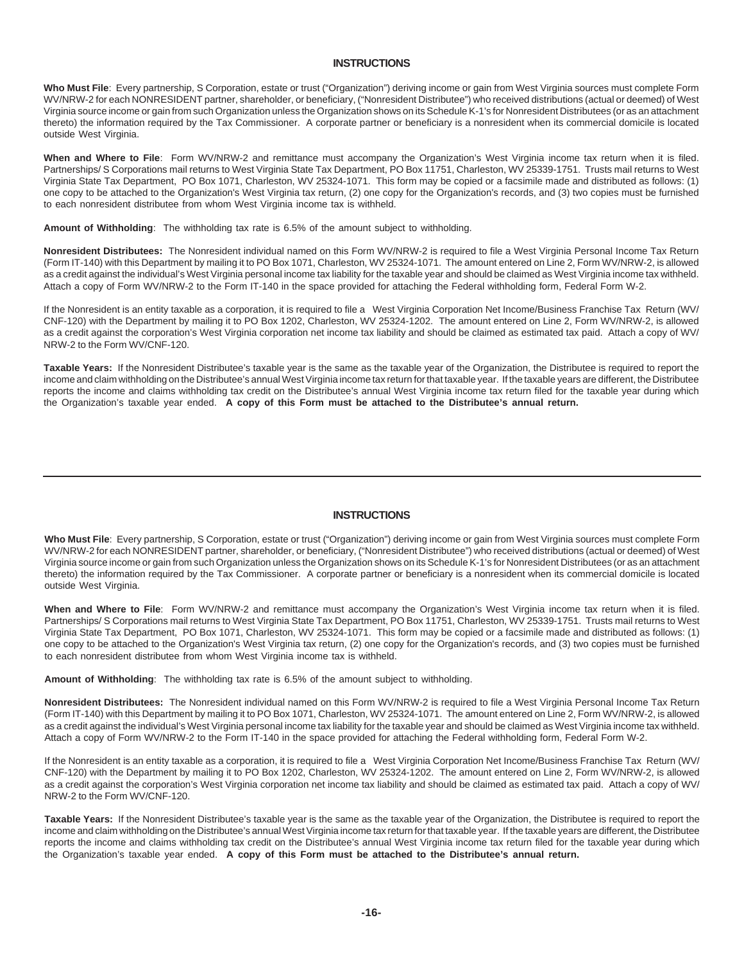## **INSTRUCTIONS**

**Who Must File**: Every partnership, S Corporation, estate or trust ("Organization") deriving income or gain from West Virginia sources must complete Form WV/NRW-2 for each NONRESIDENT partner, shareholder, or beneficiary, ("Nonresident Distributee") who received distributions (actual or deemed) of West Virginia source income or gain from such Organization unless the Organization shows on its Schedule K-1's for Nonresident Distributees (or as an attachment thereto) the information required by the Tax Commissioner. A corporate partner or beneficiary is a nonresident when its commercial domicile is located outside West Virginia.

**When and Where to File**: Form WV/NRW-2 and remittance must accompany the Organization's West Virginia income tax return when it is filed. Partnerships/ S Corporations mail returns to West Virginia State Tax Department, PO Box 11751, Charleston, WV 25339-1751. Trusts mail returns to West Virginia State Tax Department, PO Box 1071, Charleston, WV 25324-1071. This form may be copied or a facsimile made and distributed as follows: (1) one copy to be attached to the Organization's West Virginia tax return, (2) one copy for the Organization's records, and (3) two copies must be furnished to each nonresident distributee from whom West Virginia income tax is withheld.

**Amount of Withholding**: The withholding tax rate is 6.5% of the amount subject to withholding.

**Nonresident Distributees:** The Nonresident individual named on this Form WV/NRW-2 is required to file a West Virginia Personal Income Tax Return (Form IT-140) with this Department by mailing it to PO Box 1071, Charleston, WV 25324-1071. The amount entered on Line 2, Form WV/NRW-2, is allowed as a credit against the individual's West Virginia personal income tax liability for the taxable year and should be claimed as West Virginia income tax withheld. Attach a copy of Form WV/NRW-2 to the Form IT-140 in the space provided for attaching the Federal withholding form, Federal Form W-2.

If the Nonresident is an entity taxable as a corporation, it is required to file a West Virginia Corporation Net Income/Business Franchise Tax Return (WV/ CNF-120) with the Department by mailing it to PO Box 1202, Charleston, WV 25324-1202. The amount entered on Line 2, Form WV/NRW-2, is allowed as a credit against the corporation's West Virginia corporation net income tax liability and should be claimed as estimated tax paid. Attach a copy of WV/ NRW-2 to the Form WV/CNF-120.

**Taxable Years:** If the Nonresident Distributee's taxable year is the same as the taxable year of the Organization, the Distributee is required to report the income and claim withholding on the Distributee's annual West Virginia income tax return for that taxable year. If the taxable years are different, the Distributee reports the income and claims withholding tax credit on the Distributee's annual West Virginia income tax return filed for the taxable year during which the Organization's taxable year ended. **A copy of this Form must be attached to the Distributee's annual return.**

### **INSTRUCTIONS**

**Who Must File**: Every partnership, S Corporation, estate or trust ("Organization") deriving income or gain from West Virginia sources must complete Form WV/NRW-2 for each NONRESIDENT partner, shareholder, or beneficiary, ("Nonresident Distributee") who received distributions (actual or deemed) of West Virginia source income or gain from such Organization unless the Organization shows on its Schedule K-1's for Nonresident Distributees (or as an attachment thereto) the information required by the Tax Commissioner. A corporate partner or beneficiary is a nonresident when its commercial domicile is located outside West Virginia.

**When and Where to File**: Form WV/NRW-2 and remittance must accompany the Organization's West Virginia income tax return when it is filed. Partnerships/ S Corporations mail returns to West Virginia State Tax Department, PO Box 11751, Charleston, WV 25339-1751. Trusts mail returns to West Virginia State Tax Department, PO Box 1071, Charleston, WV 25324-1071. This form may be copied or a facsimile made and distributed as follows: (1) one copy to be attached to the Organization's West Virginia tax return, (2) one copy for the Organization's records, and (3) two copies must be furnished to each nonresident distributee from whom West Virginia income tax is withheld.

**Amount of Withholding**: The withholding tax rate is 6.5% of the amount subject to withholding.

**Nonresident Distributees:** The Nonresident individual named on this Form WV/NRW-2 is required to file a West Virginia Personal Income Tax Return (Form IT-140) with this Department by mailing it to PO Box 1071, Charleston, WV 25324-1071. The amount entered on Line 2, Form WV/NRW-2, is allowed as a credit against the individual's West Virginia personal income tax liability for the taxable year and should be claimed as West Virginia income tax withheld. Attach a copy of Form WV/NRW-2 to the Form IT-140 in the space provided for attaching the Federal withholding form, Federal Form W-2.

If the Nonresident is an entity taxable as a corporation, it is required to file a West Virginia Corporation Net Income/Business Franchise Tax Return (WV/ CNF-120) with the Department by mailing it to PO Box 1202, Charleston, WV 25324-1202. The amount entered on Line 2, Form WV/NRW-2, is allowed as a credit against the corporation's West Virginia corporation net income tax liability and should be claimed as estimated tax paid. Attach a copy of WV/ NRW-2 to the Form WV/CNF-120.

**Taxable Years:** If the Nonresident Distributee's taxable year is the same as the taxable year of the Organization, the Distributee is required to report the income and claim withholding on the Distributee's annual West Virginia income tax return for that taxable year. If the taxable years are different, the Distributee reports the income and claims withholding tax credit on the Distributee's annual West Virginia income tax return filed for the taxable year during which the Organization's taxable year ended. **A copy of this Form must be attached to the Distributee's annual return.**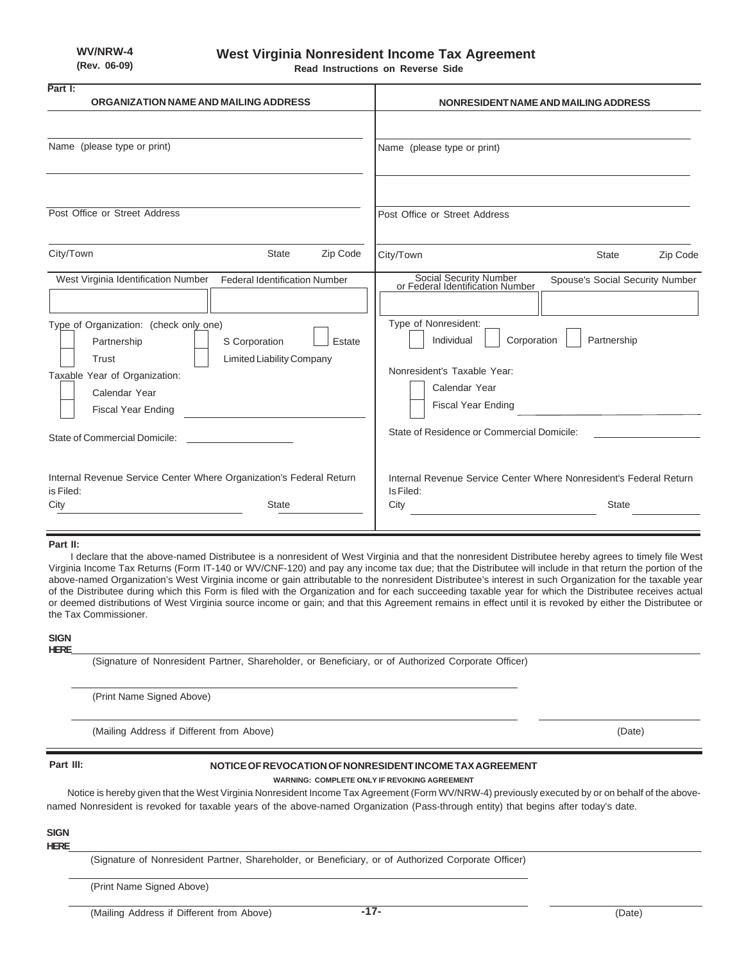**Read Instructions on Reverse Side**

| Part I:<br>ORGANIZATION NAME AND MAILING ADDRESS                                                                                                                                                                                                                                                                             | NONRESIDENT NAME AND MAILING ADDRESS                                                                                                                                                                                                                                                         |
|------------------------------------------------------------------------------------------------------------------------------------------------------------------------------------------------------------------------------------------------------------------------------------------------------------------------------|----------------------------------------------------------------------------------------------------------------------------------------------------------------------------------------------------------------------------------------------------------------------------------------------|
|                                                                                                                                                                                                                                                                                                                              |                                                                                                                                                                                                                                                                                              |
| Name (please type or print)                                                                                                                                                                                                                                                                                                  | Name (please type or print)                                                                                                                                                                                                                                                                  |
| Post Office or Street Address                                                                                                                                                                                                                                                                                                | Post Office or Street Address                                                                                                                                                                                                                                                                |
| City/Town<br><b>State</b><br>Zip Code                                                                                                                                                                                                                                                                                        | City/Town<br>Zip Code<br><b>State</b>                                                                                                                                                                                                                                                        |
| West Virginia Identification Number<br><b>Federal Identification Number</b><br>Type of Organization: (check only one)<br>Partnership<br>S Corporation<br>Estate<br><b>Limited Liability Company</b><br>Trust<br>Taxable Year of Organization:<br>Calendar Year<br><b>Fiscal Year Ending</b><br>State of Commercial Domicile: | Social Security Number<br>or Federal Identification Number<br>Spouse's Social Security Number<br>Type of Nonresident:<br>Individual<br>Corporation<br>Partnership<br>Nonresident's Taxable Year:<br>Calendar Year<br><b>Fiscal Year Ending</b><br>State of Residence or Commercial Domicile: |
| Internal Revenue Service Center Where Organization's Federal Return<br>is Filed:<br>City<br><b>State</b>                                                                                                                                                                                                                     | Internal Revenue Service Center Where Nonresident's Federal Return<br>Is Filed:<br>City<br><b>State</b>                                                                                                                                                                                      |

### **Part II:**

I declare that the above-named Distributee is a nonresident of West Virginia and that the nonresident Distributee hereby agrees to timely file West Virginia Income Tax Returns (Form IT-140 or WV/CNF-120) and pay any income tax due; that the Distributee will include in that return the portion of the above-named Organization's West Virginia income or gain attributable to the nonresident Distributee's interest in such Organization for the taxable year of the Distributee during which this Form is filed with the Organization and for each succeeding taxable year for which the Distributee receives actual or deemed distributions of West Virginia source income or gain; and that this Agreement remains in effect until it is revoked by either the Distributee or the Tax Commissioner.

#### **SIGN HERE**

(Signature of Nonresident Partner, Shareholder, or Beneficiary, or of Authorized Corporate Officer)

(Print Name Signed Above)

(Mailing Address if Different from Above) (Date)

### **Part III:**

#### **NOTICE OF REVOCATION OF NONRESIDENT INCOME TAX AGREEMENT**

**WARNING: COMPLETE ONLY IF REVOKING AGREEMENT** Notice is hereby given that the West Virginia Nonresident Income Tax Agreement (Form WV/NRW-4) previously executed by or on behalf of the abovenamed Nonresident is revoked for taxable years of the above-named Organization (Pass-through entity) that begins after today's date.

## **SIGN**

**HERE**

(Signature of Nonresident Partner, Shareholder, or Beneficiary, or of Authorized Corporate Officer)

(Print Name Signed Above)